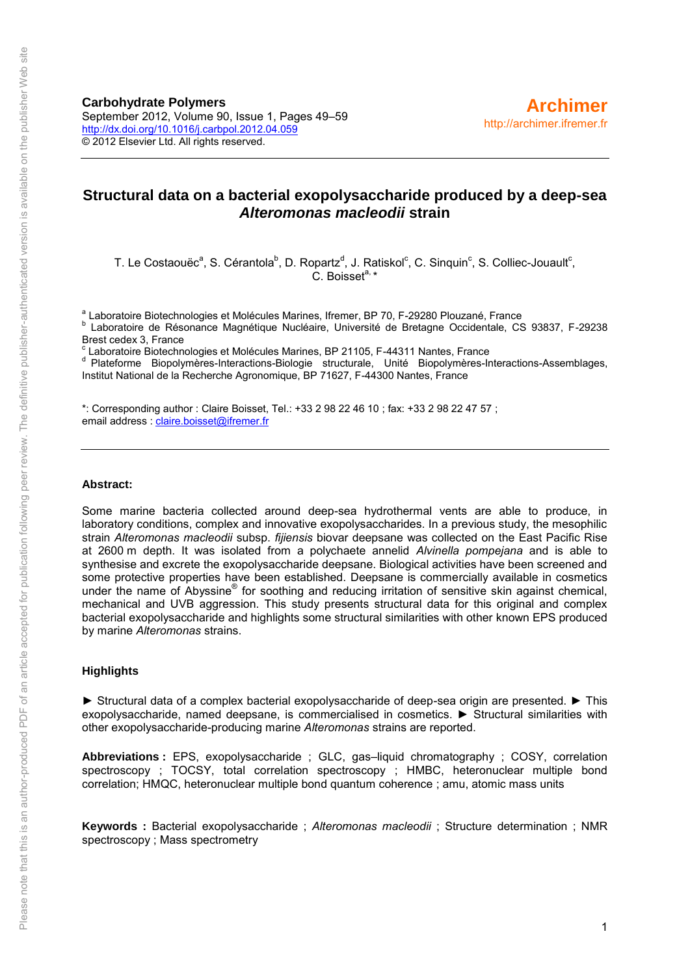**Carbohydrate Polymers** September 2012, Volume 90, Issue 1, Pages 49–59 <http://dx.doi.org/10.1016/j.carbpol.2012.04.059> © 2012 Elsevier Ltd. All rights reserved.

# **Structural data on a bacterial exopolysaccharide produced by a deep-sea**  *Alteromonas macleodii* **strain**

T. Le Costaouëc<sup>a</sup>, S. Cérantola<sup>b</sup>, D. Ropartz<sup>d</sup>, J. Ratiskol<sup>c</sup>, C. Sinquin<sup>c</sup>, S. Colliec-Jouault<sup>c</sup>, C. Boisset $a, \star$ 

<sup>a</sup> Laboratoire Biotechnologies et Molécules Marines, Ifremer, BP 70, F-29280 Plouzané, France

b Laboratoire de Résonance Magnétique Nucléaire, Université de Bretagne Occidentale, CS 93837, F-29238 Brest cedex 3, France

c Laboratoire Biotechnologies et Molécules Marines, BP 21105, F-44311 Nantes, France

<sup>d</sup> Plateforme Biopolymères-Interactions-Biologie structurale, Unité Biopolymères-Interactions-Assemblages, Institut National de la Recherche Agronomique, BP 71627, F-44300 Nantes, France

\*: Corresponding author : Claire Boisset, Tel.: +33 2 98 22 46 10 ; fax: +33 2 98 22 47 57 ; email address : [claire.boisset@ifremer.fr](mailto:claire.boisset@ifremer.fr)

#### **Abstract:**

Some marine bacteria collected around deep-sea hydrothermal vents are able to produce, in laboratory conditions, complex and innovative exopolysaccharides. In a previous study, the mesophilic strain *Alteromonas macleodii* subsp. *fijiensis* biovar deepsane was collected on the East Pacific Rise at 2600 m depth. It was isolated from a polychaete annelid *Alvinella pompejana* and is able to synthesise and excrete the exopolysaccharide deepsane. Biological activities have been screened and some protective properties have been established. Deepsane is commercially available in cosmetics under the name of Abyssine® for soothing and reducing irritation of sensitive skin against chemical, mechanical and UVB aggression. This study presents structural data for this original and complex bacterial exopolysaccharide and highlights some structural similarities with other known EPS produced by marine *Alteromonas* strains.

#### **Highlights**

► Structural data of a complex bacterial exopolysaccharide of deep-sea origin are presented. ► This exopolysaccharide, named deepsane, is commercialised in cosmetics. ► Structural similarities with other exopolysaccharide-producing marine *Alteromonas* strains are reported.

**Abbreviations :** EPS, exopolysaccharide ; GLC, gas–liquid chromatography ; COSY, correlation spectroscopy ; TOCSY, total correlation spectroscopy ; HMBC, heteronuclear multiple bond correlation; HMQC, heteronuclear multiple bond quantum coherence ; amu, atomic mass units

**Keywords :** Bacterial exopolysaccharide ; *Alteromonas macleodii* ; Structure determination ; NMR spectroscopy ; Mass spectrometry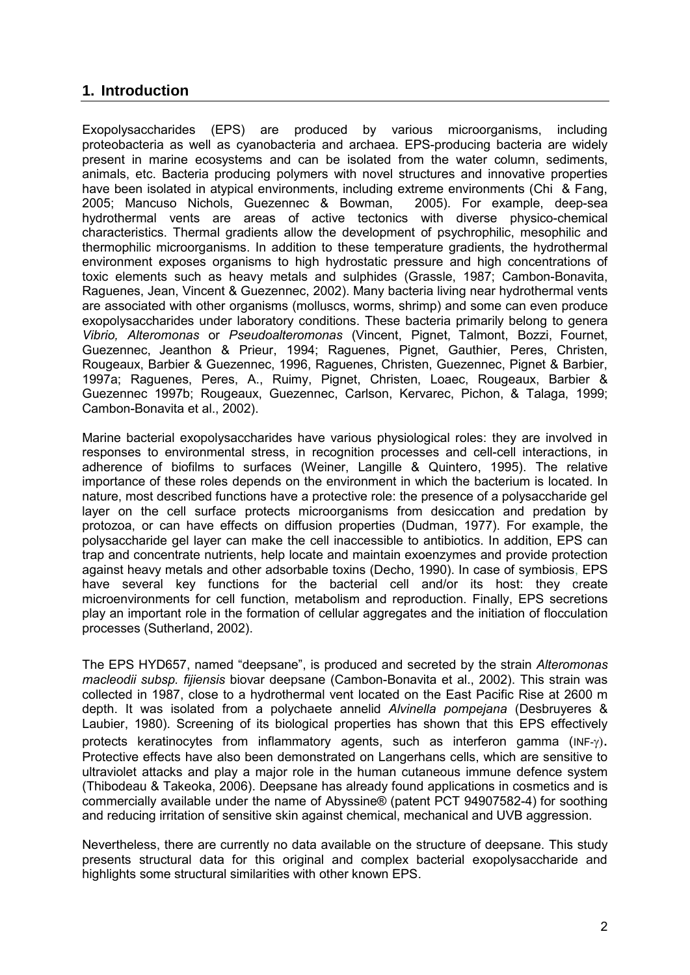# **1. Introduction**

Exopolysaccharides (EPS) are produced by various microorganisms, including proteobacteria as well as cyanobacteria and archaea. EPS-producing bacteria are widely present in marine ecosystems and can be isolated from the water column, sediments, animals, etc. Bacteria producing polymers with novel structures and innovative properties have been isolated in atypical environments, including extreme environments (Chi & Fang, 2005; Mancuso Nichols, Guezennec & Bowman, 2005). For example, deep-sea 2005; Mancuso Nichols, Guezennec & Bowman, hydrothermal vents are areas of active tectonics with diverse physico-chemical characteristics. Thermal gradients allow the development of psychrophilic, mesophilic and thermophilic microorganisms. In addition to these temperature gradients, the hydrothermal environment exposes organisms to high hydrostatic pressure and high concentrations of toxic elements such as heavy metals and sulphides (Grassle, 1987; Cambon-Bonavita, Raguenes, Jean, Vincent & Guezennec, 2002). Many bacteria living near hydrothermal vents are associated with other organisms (molluscs, worms, shrimp) and some can even produce exopolysaccharides under laboratory conditions. These bacteria primarily belong to genera *Vibrio, Alteromonas* or *Pseudoalteromonas* (Vincent, Pignet, Talmont, Bozzi, Fournet, Guezennec, Jeanthon & Prieur, 1994; Raguenes, Pignet, Gauthier, Peres, Christen, Rougeaux, Barbier & Guezennec, 1996, Raguenes, Christen, Guezennec, Pignet & Barbier, 1997a; Raguenes, Peres, A., Ruimy, Pignet, Christen, Loaec, Rougeaux, Barbier & Guezennec 1997b; Rougeaux, Guezennec, Carlson, Kervarec, Pichon, & Talaga, 1999; Cambon-Bonavita et al., 2002).

Marine bacterial exopolysaccharides have various physiological roles: they are involved in responses to environmental stress, in recognition processes and cell-cell interactions, in adherence of biofilms to surfaces (Weiner, Langille & Quintero, 1995). The relative importance of these roles depends on the environment in which the bacterium is located. In nature, most described functions have a protective role: the presence of a polysaccharide gel layer on the cell surface protects microorganisms from desiccation and predation by protozoa, or can have effects on diffusion properties (Dudman, 1977). For example, the polysaccharide gel layer can make the cell inaccessible to antibiotics. In addition, EPS can trap and concentrate nutrients, help locate and maintain exoenzymes and provide protection against heavy metals and other adsorbable toxins (Decho, 1990). In case of symbiosis, EPS have several key functions for the bacterial cell and/or its host: they create microenvironments for cell function, metabolism and reproduction. Finally, EPS secretions play an important role in the formation of cellular aggregates and the initiation of flocculation processes (Sutherland, 2002).

The EPS HYD657, named "deepsane", is produced and secreted by the strain *Alteromonas macleodii subsp. fijiensis* biovar deepsane (Cambon-Bonavita et al., 2002). This strain was collected in 1987, close to a hydrothermal vent located on the East Pacific Rise at 2600 m depth. It was isolated from a polychaete annelid *Alvinella pompejana* (Desbruyeres & Laubier, 1980). Screening of its biological properties has shown that this EPS effectively protects keratinocytes from inflammatory agents, such as interferon gamma (INF- $\gamma$ ). Protective effects have also been demonstrated on Langerhans cells, which are sensitive to ultraviolet attacks and play a major role in the human cutaneous immune defence system (Thibodeau & Takeoka, 2006). Deepsane has already found applications in cosmetics and is commercially available under the name of Abyssine® (patent PCT 94907582-4) for soothing and reducing irritation of sensitive skin against chemical, mechanical and UVB aggression.

Nevertheless, there are currently no data available on the structure of deepsane. This study presents structural data for this original and complex bacterial exopolysaccharide and highlights some structural similarities with other known EPS.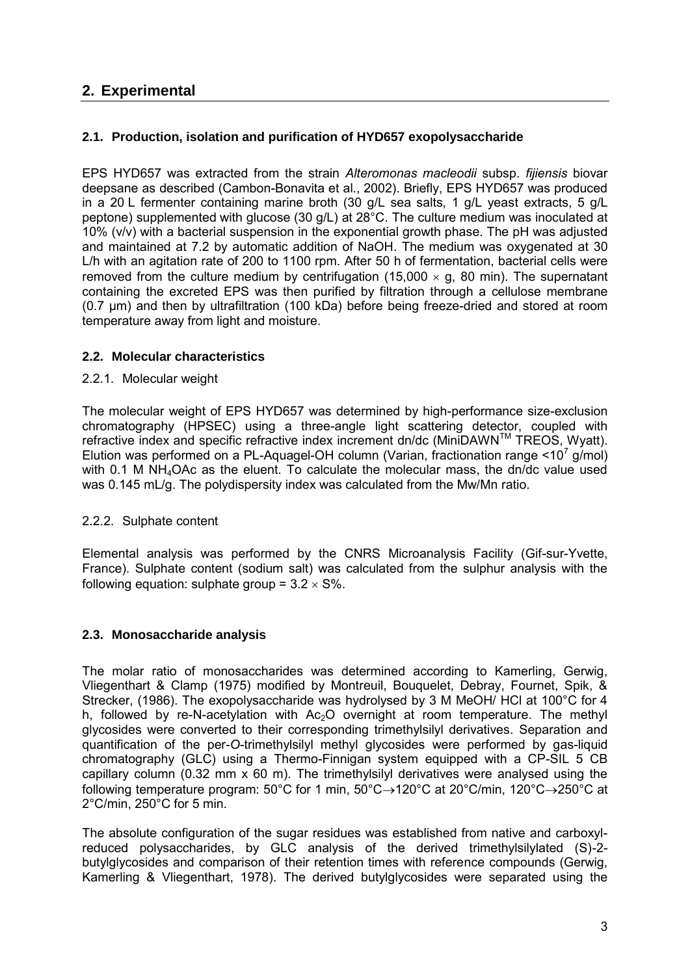# **2. Experimental**

## **2.1. Production, isolation and purification of HYD657 exopolysaccharide**

EPS HYD657 was extracted from the strain *Alteromonas macleodii* subsp. *fijiensis* biovar deepsane as described (Cambon-Bonavita et al., 2002). Briefly, EPS HYD657 was produced in a 20 L fermenter containing marine broth (30 g/L sea salts, 1 g/L yeast extracts, 5 g/L peptone) supplemented with glucose (30 g/L) at 28°C. The culture medium was inoculated at 10% (v/v) with a bacterial suspension in the exponential growth phase. The pH was adjusted and maintained at 7.2 by automatic addition of NaOH. The medium was oxygenated at 30 L/h with an agitation rate of 200 to 1100 rpm. After 50 h of fermentation, bacterial cells were removed from the culture medium by centrifugation (15,000  $\times$  q, 80 min). The supernatant containing the excreted EPS was then purified by filtration through a cellulose membrane (0.7 µm) and then by ultrafiltration (100 kDa) before being freeze-dried and stored at room temperature away from light and moisture.

## **2.2. Molecular characteristics**

#### 2.2.1. Molecular weight

The molecular weight of EPS HYD657 was determined by high-performance size-exclusion chromatography (HPSEC) using a three-angle light scattering detector, coupled with refractive index and specific refractive index increment dn/dc (MiniDAWNTM TREOS, Wyatt). Elution was performed on a PL-Aquagel-OH column (Varian, fractionation range  $\leq 10^7$  g/mol) with 0.1 M NH<sub>4</sub>OAc as the eluent. To calculate the molecular mass, the dn/dc value used was 0.145 mL/g. The polydispersity index was calculated from the Mw/Mn ratio.

## 2.2.2. Sulphate content

Elemental analysis was performed by the CNRS Microanalysis Facility (Gif-sur-Yvette, France). Sulphate content (sodium salt) was calculated from the sulphur analysis with the following equation: sulphate group =  $3.2 \times$  S%.

## **2.3. Monosaccharide analysis**

The molar ratio of monosaccharides was determined according to Kamerling, Gerwig, Vliegenthart & Clamp (1975) modified by Montreuil, Bouquelet, Debray, Fournet, Spik, & Strecker, (1986). The exopolysaccharide was hydrolysed by 3 M MeOH/ HCl at 100°C for 4 h, followed by re-N-acetylation with  $Ac<sub>2</sub>O$  overnight at room temperature. The methyl glycosides were converted to their corresponding trimethylsilyl derivatives. Separation and quantification of the per-*O*-trimethylsilyl methyl glycosides were performed by gas-liquid chromatography (GLC) using a Thermo-Finnigan system equipped with a CP-SIL 5 CB capillary column (0.32 mm x 60 m). The trimethylsilyl derivatives were analysed using the following temperature program: 50°C for 1 min,  $50^{\circ}$ C $\rightarrow$ 120°C at 20°C/min, 120°C $\rightarrow$ 250°C at 2°C/min, 250°C for 5 min.

The absolute configuration of the sugar residues was established from native and carboxylreduced polysaccharides, by GLC analysis of the derived trimethylsilylated (S)-2 butylglycosides and comparison of their retention times with reference compounds (Gerwig, Kamerling & Vliegenthart, 1978). The derived butylglycosides were separated using the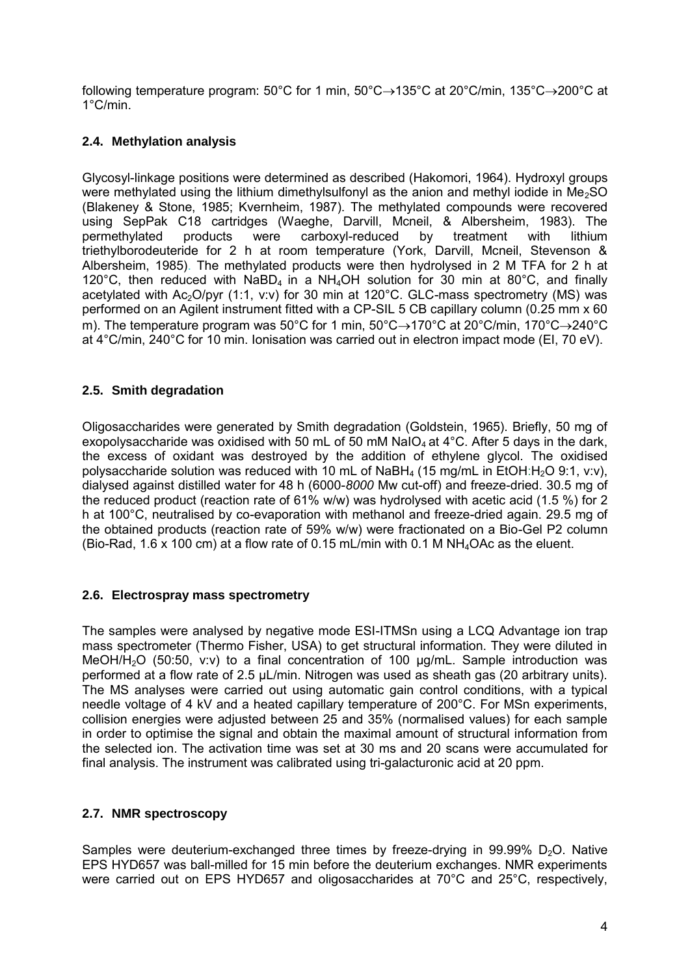following temperature program:  $50^{\circ}$ C for 1 min,  $50^{\circ}$ C $\rightarrow$ 135°C at 20°C/min, 135°C $\rightarrow$ 200°C at 1°C/min.

# **2.4. Methylation analysis**

Glycosyl-linkage positions were determined as described (Hakomori, 1964). Hydroxyl groups were methylated using the lithium dimethylsulfonyl as the anion and methyl iodide in Me<sub>2</sub>SO (Blakeney & Stone, 1985; Kvernheim, 1987). The methylated compounds were recovered using SepPak C18 cartridges (Waeghe, Darvill, Mcneil, & Albersheim, 1983). The permethylated products were carboxyl-reduced by treatment with lithium triethylborodeuteride for 2 h at room temperature (York, Darvill, Mcneil, Stevenson & Albersheim, 1985). The methylated products were then hydrolysed in 2 M TFA for 2 h at 120 $^{\circ}$ C, then reduced with NaBD<sub>4</sub> in a NH<sub>4</sub>OH solution for 30 min at 80 $^{\circ}$ C, and finally acetylated with  $Ac_2O/pyr$  (1:1, v:v) for 30 min at 120 $^{\circ}$ C. GLC-mass spectrometry (MS) was performed on an Agilent instrument fitted with a CP-SIL 5 CB capillary column (0.25 mm x 60 m). The temperature program was 50°C for 1 min,  $50^{\circ}C \rightarrow 170^{\circ}C$  at 20°C/min, 170°C $\rightarrow$ 240°C at 4°C/min, 240°C for 10 min. Ionisation was carried out in electron impact mode (EI, 70 eV).

## **2.5. Smith degradation**

Oligosaccharides were generated by Smith degradation (Goldstein, 1965). Briefly, 50 mg of exopolysaccharide was oxidised with 50 mL of 50 mM NaIO<sub>4</sub> at  $4^{\circ}$ C. After 5 days in the dark, the excess of oxidant was destroyed by the addition of ethylene glycol. The oxidised polysaccharide solution was reduced with 10 mL of NaBH<sub>4</sub> (15 mg/mL in EtOH:H<sub>2</sub>O 9:1, v:v), dialysed against distilled water for 48 h (6000-*8000* Mw cut-off) and freeze-dried. 30.5 mg of the reduced product (reaction rate of 61% w/w) was hydrolysed with acetic acid (1.5 %) for 2 h at 100°C, neutralised by co-evaporation with methanol and freeze-dried again. 29.5 mg of the obtained products (reaction rate of 59% w/w) were fractionated on a Bio-Gel P2 column (Bio-Rad, 1.6 x 100 cm) at a flow rate of 0.15 mL/min with 0.1 M  $NH<sub>4</sub>OAC$  as the eluent.

## **2.6. Electrospray mass spectrometry**

The samples were analysed by negative mode ESI-ITMSn using a LCQ Advantage ion trap mass spectrometer (Thermo Fisher, USA) to get structural information. They were diluted in MeOH/H<sub>2</sub>O (50:50, v:v) to a final concentration of 100  $\mu$ g/mL. Sample introduction was performed at a flow rate of 2.5 µL/min. Nitrogen was used as sheath gas (20 arbitrary units). The MS analyses were carried out using automatic gain control conditions, with a typical needle voltage of 4 kV and a heated capillary temperature of 200°C. For MSn experiments, collision energies were adjusted between 25 and 35% (normalised values) for each sample in order to optimise the signal and obtain the maximal amount of structural information from the selected ion. The activation time was set at 30 ms and 20 scans were accumulated for final analysis. The instrument was calibrated using tri-galacturonic acid at 20 ppm.

## **2.7. NMR spectroscopy**

Samples were deuterium-exchanged three times by freeze-drying in 99.99%  $D_2O$ . Native EPS HYD657 was ball-milled for 15 min before the deuterium exchanges. NMR experiments were carried out on EPS HYD657 and oligosaccharides at 70°C and 25°C, respectively,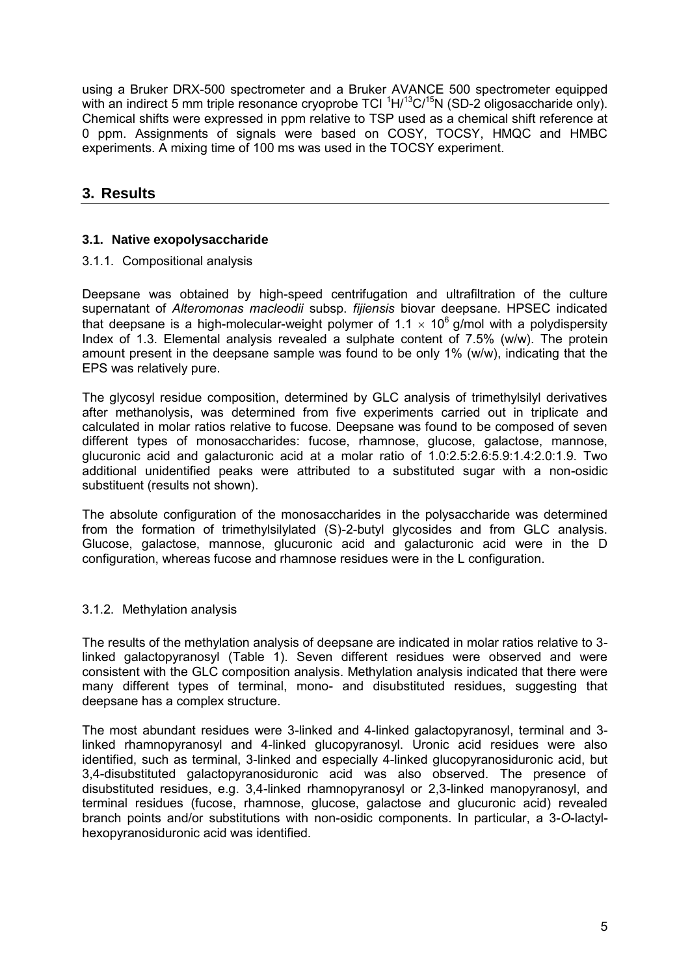using a Bruker DRX-500 spectrometer and a Bruker AVANCE 500 spectrometer equipped with an indirect 5 mm triple resonance cryoprobe TCI  ${}^{1}$ H/ ${}^{13}$ C/ ${}^{15}$ N (SD-2 oligosaccharide only). Chemical shifts were expressed in ppm relative to TSP used as a chemical shift reference at 0 ppm. Assignments of signals were based on COSY, TOCSY, HMQC and HMBC experiments. A mixing time of 100 ms was used in the TOCSY experiment.

# **3. Results**

## **3.1. Native exopolysaccharide**

#### 3.1.1. Compositional analysis

Deepsane was obtained by high-speed centrifugation and ultrafiltration of the culture supernatant of *Alteromonas macleodii* subsp. *fijiensis* biovar deepsane. HPSEC indicated that deepsane is a high-molecular-weight polymer of 1.1  $\times$  10<sup>6</sup> g/mol with a polydispersity Index of 1.3. Elemental analysis revealed a sulphate content of 7.5% (w/w). The protein amount present in the deepsane sample was found to be only 1% (w/w), indicating that the EPS was relatively pure.

The glycosyl residue composition, determined by GLC analysis of trimethylsilyl derivatives after methanolysis, was determined from five experiments carried out in triplicate and calculated in molar ratios relative to fucose. Deepsane was found to be composed of seven different types of monosaccharides: fucose, rhamnose, glucose, galactose, mannose, glucuronic acid and galacturonic acid at a molar ratio of 1.0:2.5:2.6:5.9:1.4:2.0:1.9. Two additional unidentified peaks were attributed to a substituted sugar with a non-osidic substituent (results not shown).

The absolute configuration of the monosaccharides in the polysaccharide was determined from the formation of trimethylsilylated (S)-2-butyl glycosides and from GLC analysis. Glucose, galactose, mannose, glucuronic acid and galacturonic acid were in the D configuration, whereas fucose and rhamnose residues were in the L configuration.

#### 3.1.2. Methylation analysis

The results of the methylation analysis of deepsane are indicated in molar ratios relative to 3 linked galactopyranosyl (Table 1). Seven different residues were observed and were consistent with the GLC composition analysis. Methylation analysis indicated that there were many different types of terminal, mono- and disubstituted residues, suggesting that deepsane has a complex structure.

The most abundant residues were 3-linked and 4-linked galactopyranosyl, terminal and 3 linked rhamnopyranosyl and 4-linked glucopyranosyl. Uronic acid residues were also identified, such as terminal, 3-linked and especially 4-linked glucopyranosiduronic acid, but 3,4-disubstituted galactopyranosiduronic acid was also observed. The presence of disubstituted residues, e.g. 3,4-linked rhamnopyranosyl or 2,3-linked manopyranosyl, and terminal residues (fucose, rhamnose, glucose, galactose and glucuronic acid) revealed branch points and/or substitutions with non-osidic components. In particular, a 3-*O*-lactylhexopyranosiduronic acid was identified.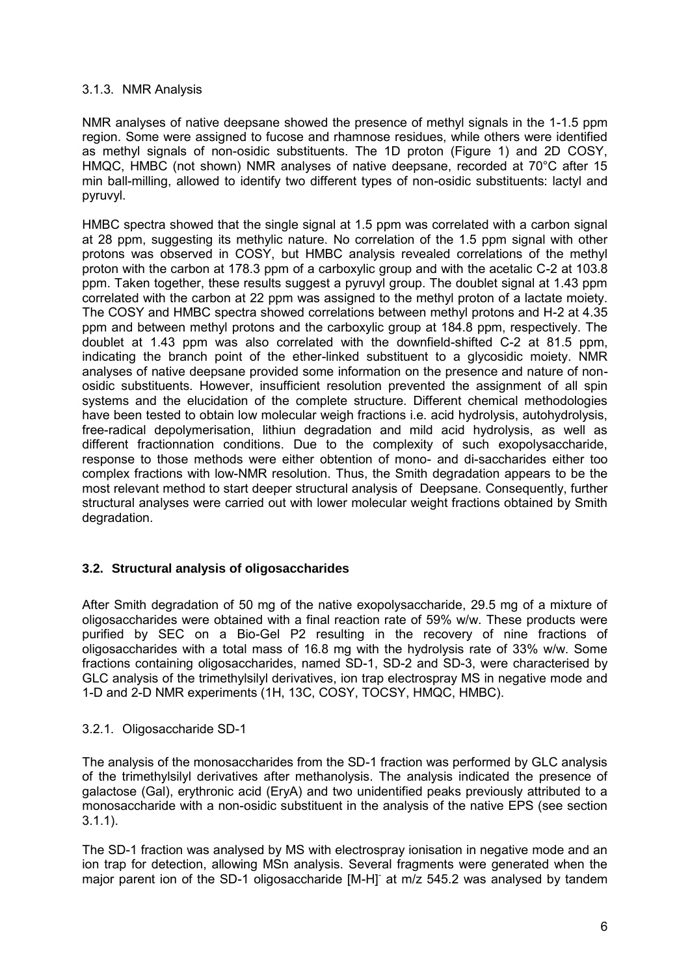#### 3.1.3. NMR Analysis

NMR analyses of native deepsane showed the presence of methyl signals in the 1-1.5 ppm region. Some were assigned to fucose and rhamnose residues, while others were identified as methyl signals of non-osidic substituents. The 1D proton (Figure 1) and 2D COSY, HMQC, HMBC (not shown) NMR analyses of native deepsane, recorded at 70°C after 15 min ball-milling, allowed to identify two different types of non-osidic substituents: lactyl and pyruvyl.

HMBC spectra showed that the single signal at 1.5 ppm was correlated with a carbon signal at 28 ppm, suggesting its methylic nature. No correlation of the 1.5 ppm signal with other protons was observed in COSY, but HMBC analysis revealed correlations of the methyl proton with the carbon at 178.3 ppm of a carboxylic group and with the acetalic C-2 at 103.8 ppm. Taken together, these results suggest a pyruvyl group. The doublet signal at 1.43 ppm correlated with the carbon at 22 ppm was assigned to the methyl proton of a lactate moiety. The COSY and HMBC spectra showed correlations between methyl protons and H-2 at 4.35 ppm and between methyl protons and the carboxylic group at 184.8 ppm, respectively. The doublet at 1.43 ppm was also correlated with the downfield-shifted C-2 at 81.5 ppm, indicating the branch point of the ether-linked substituent to a glycosidic moiety. NMR analyses of native deepsane provided some information on the presence and nature of nonosidic substituents. However, insufficient resolution prevented the assignment of all spin systems and the elucidation of the complete structure. Different chemical methodologies have been tested to obtain low molecular weigh fractions i.e. acid hydrolysis, autohydrolysis, free-radical depolymerisation, lithiun degradation and mild acid hydrolysis, as well as different fractionnation conditions. Due to the complexity of such exopolysaccharide, response to those methods were either obtention of mono- and di-saccharides either too complex fractions with low-NMR resolution. Thus, the Smith degradation appears to be the most relevant method to start deeper structural analysis of Deepsane. Consequently, further structural analyses were carried out with lower molecular weight fractions obtained by Smith degradation.

## **3.2. Structural analysis of oligosaccharides**

After Smith degradation of 50 mg of the native exopolysaccharide, 29.5 mg of a mixture of oligosaccharides were obtained with a final reaction rate of 59% w/w. These products were purified by SEC on a Bio-Gel P2 resulting in the recovery of nine fractions of oligosaccharides with a total mass of 16.8 mg with the hydrolysis rate of 33% w/w. Some fractions containing oligosaccharides, named SD-1, SD-2 and SD-3, were characterised by GLC analysis of the trimethylsilyl derivatives, ion trap electrospray MS in negative mode and 1-D and 2-D NMR experiments (1H, 13C, COSY, TOCSY, HMQC, HMBC).

#### 3.2.1. Oligosaccharide SD-1

The analysis of the monosaccharides from the SD-1 fraction was performed by GLC analysis of the trimethylsilyl derivatives after methanolysis. The analysis indicated the presence of galactose (Gal), erythronic acid (EryA) and two unidentified peaks previously attributed to a monosaccharide with a non-osidic substituent in the analysis of the native EPS (see section 3.1.1).

The SD-1 fraction was analysed by MS with electrospray ionisation in negative mode and an ion trap for detection, allowing MSn analysis. Several fragments were generated when the major parent ion of the SD-1 oligosaccharide [M-H] at m/z 545.2 was analysed by tandem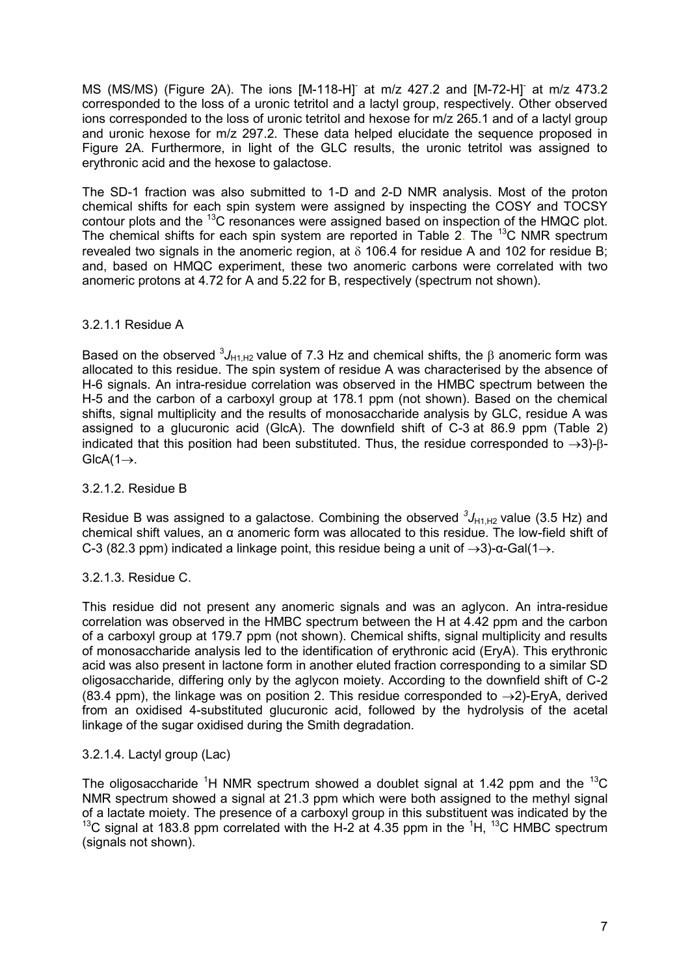MS (MS/MS) (Figure 2A). The ions [M-118-H] at m/z 427.2 and [M-72-H] at m/z 473.2 corresponded to the loss of a uronic tetritol and a lactyl group, respectively. Other observed ions corresponded to the loss of uronic tetritol and hexose for m/z 265.1 and of a lactyl group and uronic hexose for m/z 297.2. These data helped elucidate the sequence proposed in Figure 2A. Furthermore, in light of the GLC results, the uronic tetritol was assigned to erythronic acid and the hexose to galactose.

The SD-1 fraction was also submitted to 1-D and 2-D NMR analysis. Most of the proton chemical shifts for each spin system were assigned by inspecting the COSY and TOCSY contour plots and the <sup>13</sup>C resonances were assigned based on inspection of the HMQC plot. The chemical shifts for each spin system are reported in Table 2. The  $^{13}$ C NMR spectrum revealed two signals in the anomeric region, at  $\delta$  106.4 for residue A and 102 for residue B; and, based on HMQC experiment, these two anomeric carbons were correlated with two anomeric protons at 4.72 for A and 5.22 for B, respectively (spectrum not shown).

#### 3.2.1.1 Residue A

Based on the observed  ${}^{3}J_{H1,H2}$  value of 7.3 Hz and chemical shifts, the  $\beta$  anomeric form was allocated to this residue. The spin system of residue A was characterised by the absence of H-6 signals. An intra-residue correlation was observed in the HMBC spectrum between the H-5 and the carbon of a carboxyl group at 178.1 ppm (not shown). Based on the chemical shifts, signal multiplicity and the results of monosaccharide analysis by GLC, residue A was assigned to a glucuronic acid (GlcA). The downfield shift of C-3 at 86.9 ppm (Table 2) indicated that this position had been substituted. Thus, the residue corresponded to  $\rightarrow$ 3)- $\beta$ - $GlcA(1)$ .

#### 3.2.1.2. Residue B

Residue B was assigned to a galactose. Combining the observed  ${}^{3}J_{H1,H2}$  value (3.5 Hz) and chemical shift values, an α anomeric form was allocated to this residue. The low-field shift of C-3 (82.3 ppm) indicated a linkage point, this residue being a unit of  $\rightarrow$ 3)-α-Gal(1 $\rightarrow$ .

## 3.2.1.3. Residue C.

This residue did not present any anomeric signals and was an aglycon. An intra-residue correlation was observed in the HMBC spectrum between the H at 4.42 ppm and the carbon of a carboxyl group at 179.7 ppm (not shown). Chemical shifts, signal multiplicity and results of monosaccharide analysis led to the identification of erythronic acid (EryA). This erythronic acid was also present in lactone form in another eluted fraction corresponding to a similar SD oligosaccharide, differing only by the aglycon moiety. According to the downfield shift of C-2 (83.4 ppm), the linkage was on position 2. This residue corresponded to  $\rightarrow$ 2)-EryA, derived from an oxidised 4-substituted glucuronic acid, followed by the hydrolysis of the acetal linkage of the sugar oxidised during the Smith degradation.

## 3.2.1.4. Lactyl group (Lac)

The oligosaccharide <sup>1</sup>H NMR spectrum showed a doublet signal at 1.42 ppm and the <sup>13</sup>C NMR spectrum showed a signal at 21.3 ppm which were both assigned to the methyl signal of a lactate moiety. The presence of a carboxyl group in this substituent was indicated by the <sup>13</sup>C signal at 183.8 ppm correlated with the H-2 at 4.35 ppm in the <sup>1</sup>H, <sup>13</sup>C HMBC spectrum (signals not shown).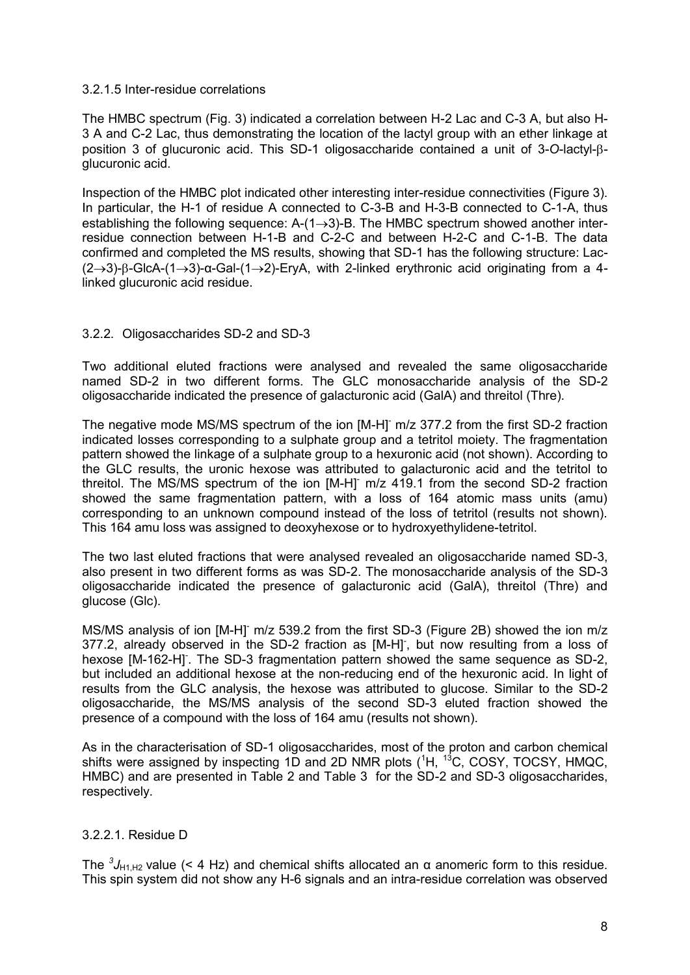#### 3.2.1.5 Inter-residue correlations

The HMBC spectrum (Fig. 3) indicated a correlation between H-2 Lac and C-3 A, but also H-3 A and C-2 Lac, thus demonstrating the location of the lactyl group with an ether linkage at position 3 of glucuronic acid. This SD-1 oligosaccharide contained a unit of 3-O-lactyl-Bglucuronic acid.

Inspection of the HMBC plot indicated other interesting inter-residue connectivities (Figure 3). In particular, the H-1 of residue A connected to C-3-B and H-3-B connected to C-1-A, thus establishing the following sequence:  $A-(1\rightarrow3)$ -B. The HMBC spectrum showed another interresidue connection between H-1-B and C-2-C and between H-2-C and C-1-B. The data confirmed and completed the MS results, showing that SD-1 has the following structure: Lac-  $(2\rightarrow3)$ -B-GlcA-(1 $\rightarrow$ 3)- $\alpha$ -Gal-(1 $\rightarrow$ 2)-EryA, with 2-linked erythronic acid originating from a 4linked glucuronic acid residue.

#### 3.2.2. Oligosaccharides SD-2 and SD-3

Two additional eluted fractions were analysed and revealed the same oligosaccharide named SD-2 in two different forms. The GLC monosaccharide analysis of the SD-2 oligosaccharide indicated the presence of galacturonic acid (GalA) and threitol (Thre).

The negative mode MS/MS spectrum of the ion [M-H] m/z 377.2 from the first SD-2 fraction indicated losses corresponding to a sulphate group and a tetritol moiety. The fragmentation pattern showed the linkage of a sulphate group to a hexuronic acid (not shown). According to the GLC results, the uronic hexose was attributed to galacturonic acid and the tetritol to threitol. The MS/MS spectrum of the ion [M-H] m/z 419.1 from the second SD-2 fraction showed the same fragmentation pattern, with a loss of 164 atomic mass units (amu) corresponding to an unknown compound instead of the loss of tetritol (results not shown). This 164 amu loss was assigned to deoxyhexose or to hydroxyethylidene-tetritol.

The two last eluted fractions that were analysed revealed an oligosaccharide named SD-3, also present in two different forms as was SD-2. The monosaccharide analysis of the SD-3 oligosaccharide indicated the presence of galacturonic acid (GalA), threitol (Thre) and glucose (Glc).

MS/MS analysis of ion [M-H]<sup>-</sup> m/z 539.2 from the first SD-3 (Figure 2B) showed the ion m/z 377.2, already observed in the SD-2 fraction as [M-H], but now resulting from a loss of hexose [M-162-H]. The SD-3 fragmentation pattern showed the same sequence as SD-2, but included an additional hexose at the non-reducing end of the hexuronic acid. In light of results from the GLC analysis, the hexose was attributed to glucose. Similar to the SD-2 oligosaccharide, the MS/MS analysis of the second SD-3 eluted fraction showed the presence of a compound with the loss of 164 amu (results not shown).

As in the characterisation of SD-1 oligosaccharides, most of the proton and carbon chemical shifts were assigned by inspecting 1D and 2D NMR plots ( ${}^{1}$ H,  ${}^{13}$ C, COSY, TOCSY, HMQC, HMBC) and are presented in Table 2 and Table 3 for the SD-2 and SD-3 oligosaccharides, respectively.

#### 3.2.2.1. Residue D

The  ${}^{3}J_{H1,H2}$  value (< 4 Hz) and chemical shifts allocated an  $\alpha$  anomeric form to this residue. This spin system did not show any H-6 signals and an intra-residue correlation was observed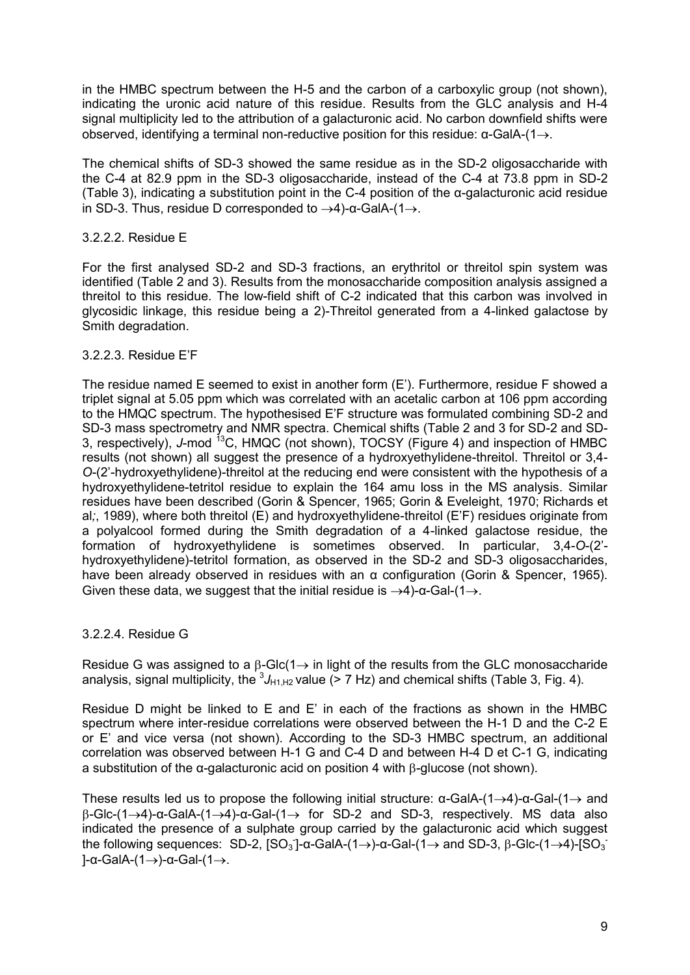in the HMBC spectrum between the H-5 and the carbon of a carboxylic group (not shown), indicating the uronic acid nature of this residue. Results from the GLC analysis and H-4 signal multiplicity led to the attribution of a galacturonic acid. No carbon downfield shifts were observed, identifying a terminal non-reductive position for this residue:  $\alpha$ -GalA-(1 $\rightarrow$ ).

The chemical shifts of SD-3 showed the same residue as in the SD-2 oligosaccharide with the C-4 at 82.9 ppm in the SD-3 oligosaccharide, instead of the C-4 at 73.8 ppm in SD-2 (Table 3), indicating a substitution point in the C-4 position of the α-galacturonic acid residue in SD-3. Thus, residue D corresponded to  $\rightarrow$ 4)-α-GalA-(1 $\rightarrow$ .

#### 3.2.2.2. Residue E

For the first analysed SD-2 and SD-3 fractions, an erythritol or threitol spin system was identified (Table 2 and 3). Results from the monosaccharide composition analysis assigned a threitol to this residue. The low-field shift of C-2 indicated that this carbon was involved in glycosidic linkage, this residue being a 2)-Threitol generated from a 4-linked galactose by Smith degradation.

#### 3.2.2.3. Residue E'F

The residue named E seemed to exist in another form (E'). Furthermore, residue F showed a triplet signal at 5.05 ppm which was correlated with an acetalic carbon at 106 ppm according to the HMQC spectrum. The hypothesised E'F structure was formulated combining SD-2 and SD-3 mass spectrometry and NMR spectra. Chemical shifts (Table 2 and 3 for SD-2 and SD-3, respectively), J-mod <sup>13</sup>C, HMQC (not shown), TOCSY (Figure 4) and inspection of HMBC results (not shown) all suggest the presence of a hydroxyethylidene-threitol. Threitol or 3.4-*O*-(2'-hydroxyethylidene)-threitol at the reducing end were consistent with the hypothesis of a hydroxyethylidene-tetritol residue to explain the 164 amu loss in the MS analysis. Similar residues have been described (Gorin & Spencer, 1965; Gorin & Eveleight, 1970; Richards et al*;*, 1989), where both threitol (E) and hydroxyethylidene-threitol (E'F) residues originate from a polyalcool formed during the Smith degradation of a 4-linked galactose residue, the formation of hydroxyethylidene is sometimes observed. In particular, 3,4-*O*-(2' hydroxyethylidene)-tetritol formation, as observed in the SD-2 and SD-3 oligosaccharides, have been already observed in residues with an α configuration (Gorin & Spencer, 1965). Given these data, we suggest that the initial residue is  $\rightarrow$ 4)-α-Gal-(1 $\rightarrow$ .

#### 3.2.2.4. Residue G

Residue G was assigned to a  $\beta$ -Glc(1 $\rightarrow$  in light of the results from the GLC monosaccharide analysis, signal multiplicity, the  ${}^{3}J_{H1,H2}$  value (> 7 Hz) and chemical shifts (Table 3, Fig. 4).

Residue D might be linked to E and E' in each of the fractions as shown in the HMBC spectrum where inter-residue correlations were observed between the H-1 D and the C-2 E or E' and vice versa (not shown). According to the SD-3 HMBC spectrum, an additional correlation was observed between H-1 G and C-4 D and between H-4 D et C-1 G, indicating a substitution of the  $\alpha$ -galacturonic acid on position 4 with  $\beta$ -glucose (not shown).

These results led us to propose the following initial structure:  $\alpha$ -GalA-(1->4)- $\alpha$ -Gal-(1-> and  $\beta$ -Glc-(1 $\rightarrow$ 4)-α-GalA-(1 $\rightarrow$ 4)-α-Gal-(1 $\rightarrow$  for SD-2 and SD-3, respectively. MS data also indicated the presence of a sulphate group carried by the galacturonic acid which suggest the following sequences: SD-2,  $[SO_3]$ -α-GalA-(1→)-α-Gal-(1→ and SD-3, β-Glc-(1→4)- $[SO_3]$  $]-\alpha$ -GalA-(1→)-α-Gal-(1→.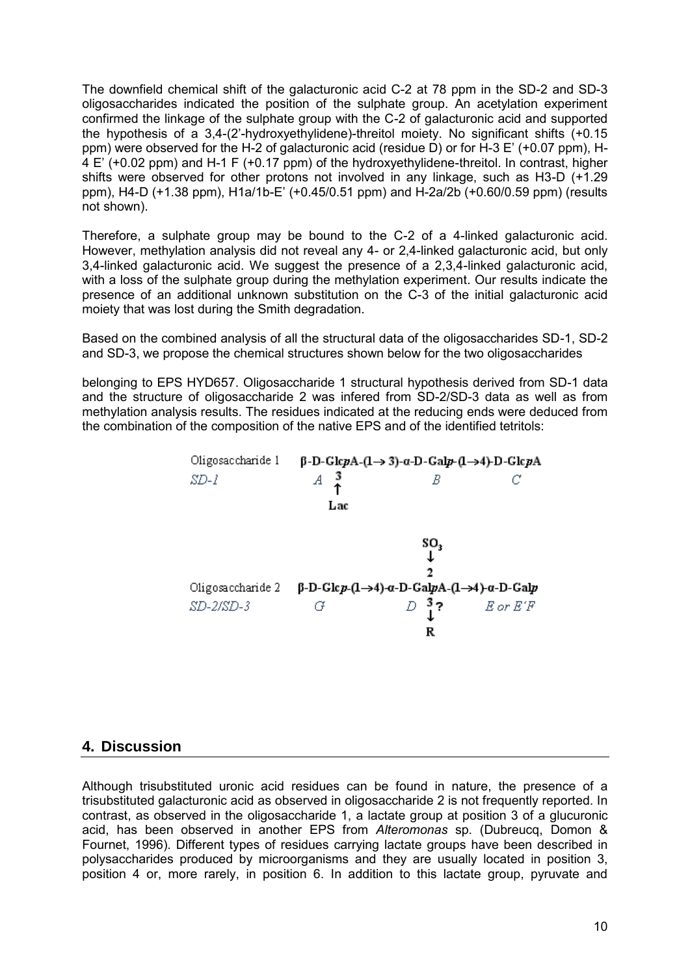The downfield chemical shift of the galacturonic acid C-2 at 78 ppm in the SD-2 and SD-3 oligosaccharides indicated the position of the sulphate group. An acetylation experiment confirmed the linkage of the sulphate group with the C-2 of galacturonic acid and supported the hypothesis of a 3,4-(2'-hydroxyethylidene)-threitol moiety. No significant shifts (+0.15 ppm) were observed for the H-2 of galacturonic acid (residue D) or for H-3 E' (+0.07 ppm), H-4 E' (+0.02 ppm) and H-1 F (+0.17 ppm) of the hydroxyethylidene-threitol. In contrast, higher shifts were observed for other protons not involved in any linkage, such as H3-D (+1.29 ppm), H4-D (+1.38 ppm), H1a/1b-E' (+0.45/0.51 ppm) and H-2a/2b (+0.60/0.59 ppm) (results not shown).

Therefore, a sulphate group may be bound to the C-2 of a 4-linked galacturonic acid. However, methylation analysis did not reveal any 4- or 2,4-linked galacturonic acid, but only 3,4-linked galacturonic acid. We suggest the presence of a 2,3,4-linked galacturonic acid, with a loss of the sulphate group during the methylation experiment. Our results indicate the presence of an additional unknown substitution on the C-3 of the initial galacturonic acid moiety that was lost during the Smith degradation.

Based on the combined analysis of all the structural data of the oligosaccharides SD-1, SD-2 and SD-3, we propose the chemical structures shown below for the two oligosaccharides

belonging to EPS HYD657. Oligosaccharide 1 structural hypothesis derived from SD-1 data and the structure of oligosaccharide 2 was infered from SD-2/SD-3 data as well as from methylation analysis results. The residues indicated at the reducing ends were deduced from the combination of the composition of the native EPS and of the identified tetritols:



#### **4. Discussion**

Although trisubstituted uronic acid residues can be found in nature, the presence of a trisubstituted galacturonic acid as observed in oligosaccharide 2 is not frequently reported. In contrast, as observed in the oligosaccharide 1, a lactate group at position 3 of a glucuronic acid, has been observed in another EPS from *Alteromonas* sp. (Dubreucq, Domon & Fournet, 1996). Different types of residues carrying lactate groups have been described in polysaccharides produced by microorganisms and they are usually located in position 3, position 4 or, more rarely, in position 6. In addition to this lactate group, pyruvate and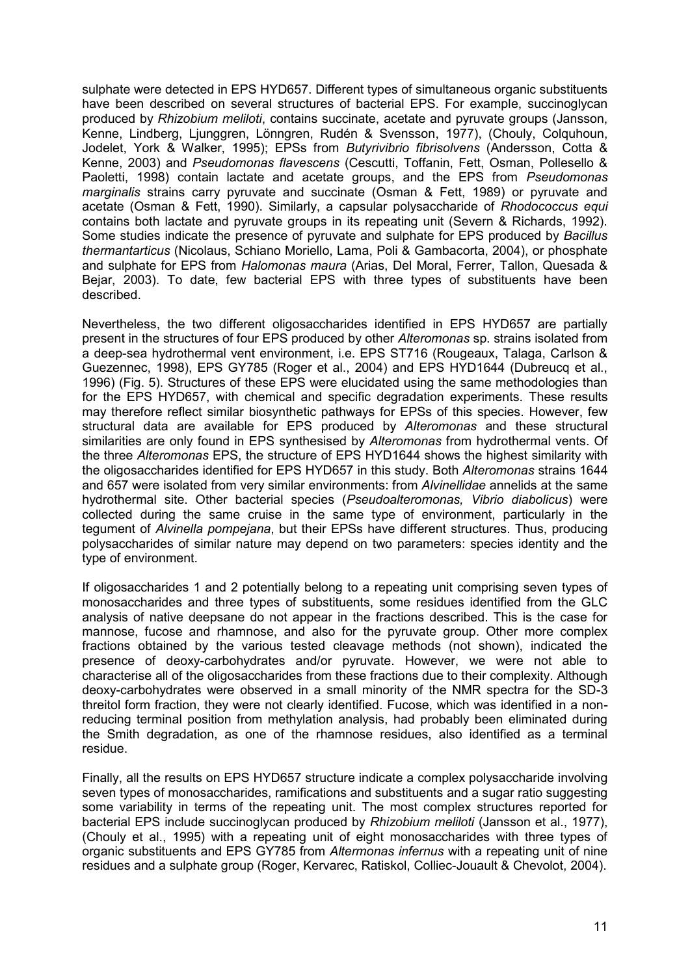sulphate were detected in EPS HYD657. Different types of simultaneous organic substituents have been described on several structures of bacterial EPS. For example, succinoglycan produced by *Rhizobium meliloti*, contains succinate, acetate and pyruvate groups (Jansson, Kenne, Lindberg, Ljunggren, Lönngren, Rudén & Svensson, 1977), (Chouly, Colquhoun, Jodelet, York & Walker, 1995); EPSs from *Butyrivibrio fibrisolvens* (Andersson, Cotta & Kenne, 2003) and *Pseudomonas flavescens* (Cescutti, Toffanin, Fett, Osman, Pollesello & Paoletti, 1998) contain lactate and acetate groups, and the EPS from *Pseudomonas marginalis* strains carry pyruvate and succinate (Osman & Fett, 1989) or pyruvate and acetate (Osman & Fett, 1990). Similarly, a capsular polysaccharide of *Rhodococcus equi* contains both lactate and pyruvate groups in its repeating unit (Severn & Richards, 1992). Some studies indicate the presence of pyruvate and sulphate for EPS produced by *Bacillus thermantarticus* (Nicolaus, Schiano Moriello, Lama, Poli & Gambacorta, 2004), or phosphate and sulphate for EPS from *Halomonas maura* (Arias, Del Moral, Ferrer, Tallon, Quesada & Bejar, 2003). To date, few bacterial EPS with three types of substituents have been described.

Nevertheless, the two different oligosaccharides identified in EPS HYD657 are partially present in the structures of four EPS produced by other *Alteromonas* sp. strains isolated from a deep-sea hydrothermal vent environment, i.e. EPS ST716 (Rougeaux, Talaga, Carlson & Guezennec, 1998), EPS GY785 (Roger et al., 2004) and EPS HYD1644 (Dubreucq et al., 1996) (Fig. 5). Structures of these EPS were elucidated using the same methodologies than for the EPS HYD657, with chemical and specific degradation experiments. These results may therefore reflect similar biosynthetic pathways for EPSs of this species. However, few structural data are available for EPS produced by *Alteromonas* and these structural similarities are only found in EPS synthesised by *Alteromonas* from hydrothermal vents. Of the three *Alteromonas* EPS, the structure of EPS HYD1644 shows the highest similarity with the oligosaccharides identified for EPS HYD657 in this study. Both *Alteromonas* strains 1644 and 657 were isolated from very similar environments: from *Alvinellidae* annelids at the same hydrothermal site. Other bacterial species (*Pseudoalteromonas, Vibrio diabolicus*) were collected during the same cruise in the same type of environment, particularly in the tegument of *Alvinella pompejana*, but their EPSs have different structures. Thus, producing polysaccharides of similar nature may depend on two parameters: species identity and the type of environment.

If oligosaccharides 1 and 2 potentially belong to a repeating unit comprising seven types of monosaccharides and three types of substituents, some residues identified from the GLC analysis of native deepsane do not appear in the fractions described. This is the case for mannose, fucose and rhamnose, and also for the pyruvate group. Other more complex fractions obtained by the various tested cleavage methods (not shown), indicated the presence of deoxy-carbohydrates and/or pyruvate. However, we were not able to characterise all of the oligosaccharides from these fractions due to their complexity. Although deoxy-carbohydrates were observed in a small minority of the NMR spectra for the SD-3 threitol form fraction, they were not clearly identified. Fucose, which was identified in a nonreducing terminal position from methylation analysis, had probably been eliminated during the Smith degradation, as one of the rhamnose residues, also identified as a terminal residue.

Finally, all the results on EPS HYD657 structure indicate a complex polysaccharide involving seven types of monosaccharides, ramifications and substituents and a sugar ratio suggesting some variability in terms of the repeating unit. The most complex structures reported for bacterial EPS include succinoglycan produced by *Rhizobium meliloti* (Jansson et al., 1977), (Chouly et al., 1995) with a repeating unit of eight monosaccharides with three types of organic substituents and EPS GY785 from *Altermonas infernus* with a repeating unit of nine residues and a sulphate group (Roger, Kervarec, Ratiskol, Colliec-Jouault & Chevolot, 2004).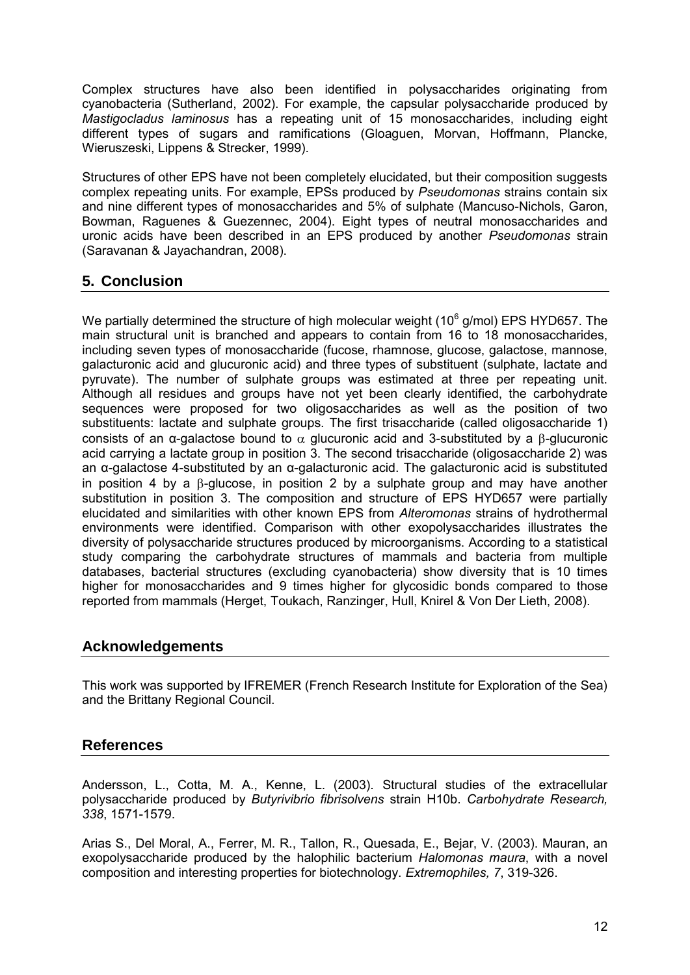Complex structures have also been identified in polysaccharides originating from cyanobacteria (Sutherland, 2002). For example, the capsular polysaccharide produced by *Mastigocladus laminosus* has a repeating unit of 15 monosaccharides, including eight different types of sugars and ramifications (Gloaguen, Morvan, Hoffmann, Plancke, Wieruszeski, Lippens & Strecker, 1999).

Structures of other EPS have not been completely elucidated, but their composition suggests complex repeating units. For example, EPSs produced by *Pseudomonas* strains contain six and nine different types of monosaccharides and 5% of sulphate (Mancuso-Nichols, Garon, Bowman, Raguenes & Guezennec, 2004). Eight types of neutral monosaccharides and uronic acids have been described in an EPS produced by another *Pseudomonas* strain (Saravanan & Jayachandran, 2008).

# **5. Conclusion**

We partially determined the structure of high molecular weight (10 $^6$  g/mol) EPS HYD657. The main structural unit is branched and appears to contain from 16 to 18 monosaccharides, including seven types of monosaccharide (fucose, rhamnose, glucose, galactose, mannose, galacturonic acid and glucuronic acid) and three types of substituent (sulphate, lactate and pyruvate). The number of sulphate groups was estimated at three per repeating unit. Although all residues and groups have not yet been clearly identified, the carbohydrate sequences were proposed for two oligosaccharides as well as the position of two substituents: lactate and sulphate groups. The first trisaccharide (called oligosaccharide 1) consists of an  $\alpha$ -galactose bound to  $\alpha$  glucuronic acid and 3-substituted by a  $\beta$ -glucuronic acid carrying a lactate group in position 3. The second trisaccharide (oligosaccharide 2) was an α-galactose 4-substituted by an α-galacturonic acid. The galacturonic acid is substituted in position 4 by a  $\beta$ -glucose, in position 2 by a sulphate group and may have another substitution in position 3. The composition and structure of EPS HYD657 were partially elucidated and similarities with other known EPS from *Alteromonas* strains of hydrothermal environments were identified. Comparison with other exopolysaccharides illustrates the diversity of polysaccharide structures produced by microorganisms. According to a statistical study comparing the carbohydrate structures of mammals and bacteria from multiple databases, bacterial structures (excluding cyanobacteria) show diversity that is 10 times higher for monosaccharides and 9 times higher for glycosidic bonds compared to those reported from mammals (Herget, Toukach, Ranzinger, Hull, Knirel & Von Der Lieth, 2008).

# **Acknowledgements**

This work was supported by IFREMER (French Research Institute for Exploration of the Sea) and the Brittany Regional Council.

# **References**

Andersson, L., Cotta, M. A., Kenne, L. (2003). Structural studies of the extracellular polysaccharide produced by *Butyrivibrio fibrisolvens* strain H10b. *Carbohydrate Research, 338*, 1571-1579.

Arias S., Del Moral, A., Ferrer, M. R., Tallon, R., Quesada, E., Bejar, V. (2003). Mauran, an exopolysaccharide produced by the halophilic bacterium *Halomonas maura*, with a novel composition and interesting properties for biotechnology. *Extremophiles, 7*, 319-326.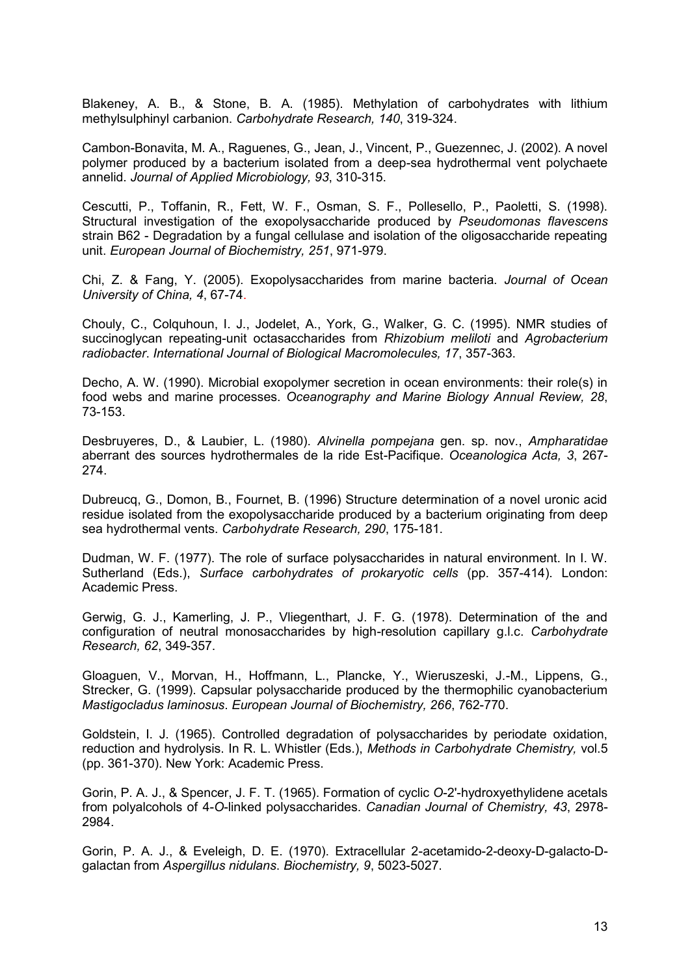Blakeney, A. B., & Stone, B. A. (1985). Methylation of carbohydrates with lithium methylsulphinyl carbanion. *Carbohydrate Research, 140*, 319-324.

Cambon-Bonavita, M. A., Raguenes, G., Jean, J., Vincent, P., Guezennec, J. (2002). A novel polymer produced by a bacterium isolated from a deep-sea hydrothermal vent polychaete annelid. *Journal of Applied Microbiology, 93*, 310-315.

Cescutti, P., Toffanin, R., Fett, W. F., Osman, S. F., Pollesello, P., Paoletti, S. (1998). Structural investigation of the exopolysaccharide produced by *Pseudomonas flavescens* strain B62 - Degradation by a fungal cellulase and isolation of the oligosaccharide repeating unit. *European Journal of Biochemistry, 251*, 971-979.

Chi, Z. & Fang, Y. (2005). Exopolysaccharides from marine bacteria. *Journal of Ocean University of China, 4*, 67-74.

Chouly, C., Colquhoun, I. J., Jodelet, A., York, G., Walker, G. C. (1995). NMR studies of succinoglycan repeating-unit octasaccharides from *Rhizobium meliloti* and *Agrobacterium radiobacter*. *International Journal of Biological Macromolecules, 17*, 357-363.

Decho, A. W. (1990). Microbial exopolymer secretion in ocean environments: their role(s) in food webs and marine processes. *Oceanography and Marine Biology Annual Review, 28*, 73-153.

Desbruyeres, D., & Laubier, L. (1980). *Alvinella pompejana* gen. sp. nov., *Ampharatidae* aberrant des sources hydrothermales de la ride Est-Pacifique. *Oceanologica Acta, 3*, 267- 274.

Dubreucq, G., Domon, B., Fournet, B. (1996) Structure determination of a novel uronic acid residue isolated from the exopolysaccharide produced by a bacterium originating from deep sea hydrothermal vents. *Carbohydrate Research, 290*, 175-181.

Dudman, W. F. (1977). The role of surface polysaccharides in natural environment. In I. W. Sutherland (Eds.), *Surface carbohydrates of prokaryotic cells* (pp. 357-414). London: Academic Press.

Gerwig, G. J., Kamerling, J. P., Vliegenthart, J. F. G. (1978). Determination of the and configuration of neutral monosaccharides by high-resolution capillary g.l.c. *Carbohydrate Research, 62*, 349-357.

Gloaguen, V., Morvan, H., Hoffmann, L., Plancke, Y., Wieruszeski, J.-M., Lippens, G., Strecker, G. (1999). Capsular polysaccharide produced by the thermophilic cyanobacterium *Mastigocladus laminosus*. *European Journal of Biochemistry, 266*, 762-770.

Goldstein, I. J. (1965). Controlled degradation of polysaccharides by periodate oxidation, reduction and hydrolysis. In R. L. Whistler (Eds.), *Methods in Carbohydrate Chemistry,* vol.5 (pp. 361-370). New York: Academic Press.

Gorin, P. A. J., & Spencer, J. F. T. (1965). Formation of cyclic *O*-2'-hydroxyethylidene acetals from polyalcohols of 4-*O*-linked polysaccharides. *Canadian Journal of Chemistry, 43*, 2978- 2984.

Gorin, P. A. J., & Eveleigh, D. E. (1970). Extracellular 2-acetamido-2-deoxy-D-galacto-Dgalactan from *Aspergillus nidulans*. *Biochemistry, 9*, 5023-5027.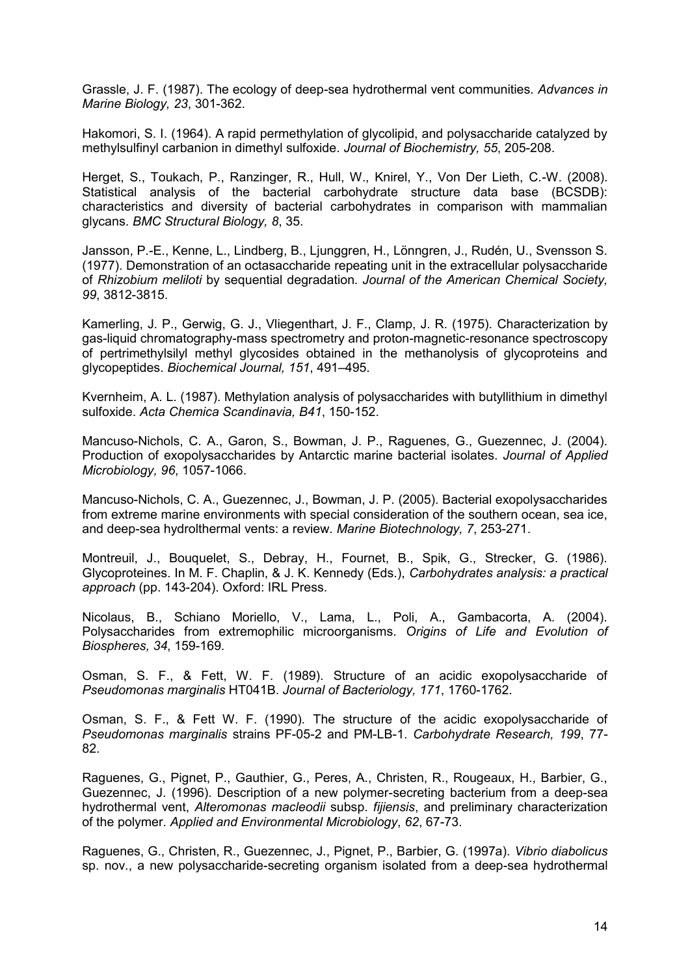Grassle, J. F. (1987). The ecology of deep-sea hydrothermal vent communities. *Advances in Marine Biology, 23*, 301-362.

Hakomori, S. I. (1964). A rapid permethylation of glycolipid, and polysaccharide catalyzed by methylsulfinyl carbanion in dimethyl sulfoxide. *Journal of Biochemistry, 55*, 205-208.

Herget, S., Toukach, P., Ranzinger, R., Hull, W., Knirel, Y., Von Der Lieth, C.-W. (2008). Statistical analysis of the bacterial carbohydrate structure data base (BCSDB): characteristics and diversity of bacterial carbohydrates in comparison with mammalian glycans. *BMC Structural Biology, 8*, 35.

Jansson, P.-E., Kenne, L., Lindberg, B., Ljunggren, H., Lönngren, J., Rudén, U., Svensson S. (1977). Demonstration of an octasaccharide repeating unit in the extracellular polysaccharide of *Rhizobium meliloti* by sequential degradation. *Journal of the American Chemical Society, 99*, 3812-3815.

Kamerling, J. P., Gerwig, G. J., Vliegenthart, J. F., Clamp, J. R. (1975). Characterization by gas-liquid chromatography-mass spectrometry and proton-magnetic-resonance spectroscopy of pertrimethylsilyl methyl glycosides obtained in the methanolysis of glycoproteins and glycopeptides. *Biochemical Journal, 151*, 491–495.

Kvernheim, A. L. (1987). Methylation analysis of polysaccharides with butyllithium in dimethyl sulfoxide. *Acta Chemica Scandinavia, B41*, 150-152.

Mancuso-Nichols, C. A., Garon, S., Bowman, J. P., Raguenes, G., Guezennec, J. (2004). Production of exopolysaccharides by Antarctic marine bacterial isolates. *Journal of Applied Microbiology, 96*, 1057-1066.

Mancuso-Nichols, C. A., Guezennec, J., Bowman, J. P. (2005). Bacterial exopolysaccharides from extreme marine environments with special consideration of the southern ocean, sea ice, and deep-sea hydrolthermal vents: a review. *Marine Biotechnology, 7*, 253-271.

Montreuil, J., Bouquelet, S., Debray, H., Fournet, B., Spik, G., Strecker, G. (1986). Glycoproteines. In M. F. Chaplin, & J. K. Kennedy (Eds.), *Carbohydrates analysis: a practical approach* (pp. 143-204). Oxford: IRL Press.

Nicolaus, B., Schiano Moriello, V., Lama, L., Poli, A., Gambacorta, A. (2004). Polysaccharides from extremophilic microorganisms. *Origins of Life and Evolution of Biospheres, 34*, 159-169.

Osman, S. F., & Fett, W. F. (1989). Structure of an acidic exopolysaccharide of *Pseudomonas marginalis* HT041B. *Journal of Bacteriology, 171*, 1760-1762.

Osman, S. F., & Fett W. F. (1990). The structure of the acidic exopolysaccharide of *Pseudomonas marginalis* strains PF-05-2 and PM-LB-1. *Carbohydrate Research, 199*, 77- 82.

Raguenes, G., Pignet, P., Gauthier, G., Peres, A., Christen, R., Rougeaux, H., Barbier, G., Guezennec, J. (1996). Description of a new polymer-secreting bacterium from a deep-sea hydrothermal vent, *Alteromonas macleodii* subsp. *fijiensis*, and preliminary characterization of the polymer. *Applied and Environmental Microbiology*, *62*, 67-73.

Raguenes, G., Christen, R., Guezennec, J., Pignet, P., Barbier, G. (1997a). *Vibrio diabolicus* sp. nov., a new polysaccharide-secreting organism isolated from a deep-sea hydrothermal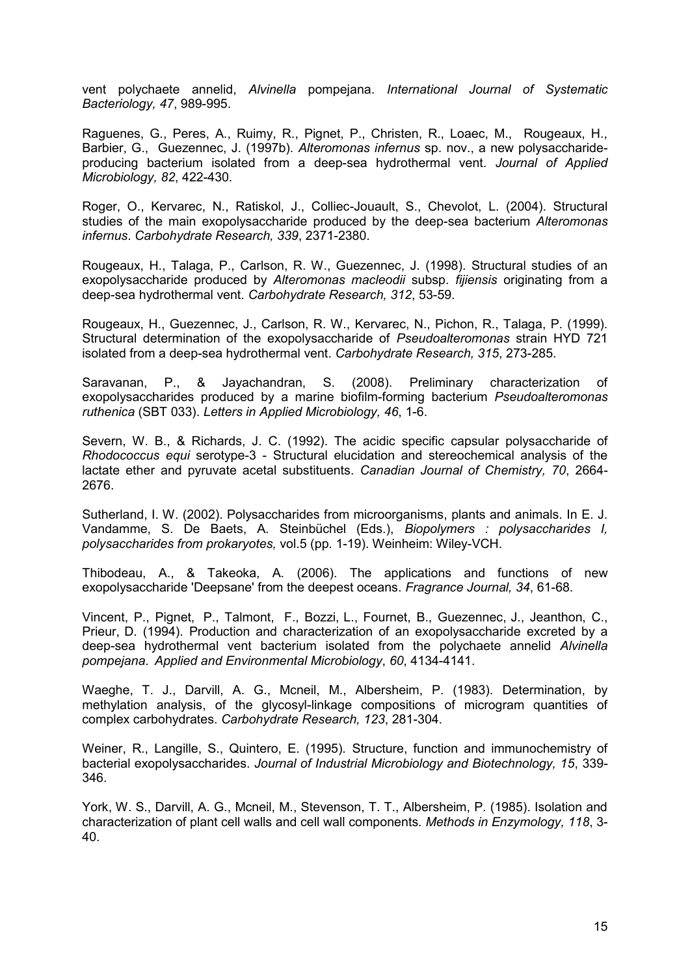vent polychaete annelid, *Alvinella* pompejana. *International Journal of Systematic Bacteriology, 47*, 989-995.

Raguenes, G., Peres, A., Ruimy, R., Pignet, P., Christen, R., Loaec, M., Rougeaux, H., Barbier, G., Guezennec, J. (1997b). *Alteromonas infernus* sp. nov., a new polysaccharideproducing bacterium isolated from a deep-sea hydrothermal vent. *Journal of Applied Microbiology, 82*, 422-430.

Roger, O., Kervarec, N., Ratiskol, J., Colliec-Jouault, S., Chevolot, L. (2004). Structural studies of the main exopolysaccharide produced by the deep-sea bacterium *Alteromonas infernus*. *Carbohydrate Research, 339*, 2371-2380.

Rougeaux, H., Talaga, P., Carlson, R. W., Guezennec, J. (1998). Structural studies of an exopolysaccharide produced by *Alteromonas macleodii* subsp. *fijiensis* originating from a deep-sea hydrothermal vent. *Carbohydrate Research, 312*, 53-59.

Rougeaux, H., Guezennec, J., Carlson, R. W., Kervarec, N., Pichon, R., Talaga, P. (1999). Structural determination of the exopolysaccharide of *Pseudoalteromonas* strain HYD 721 isolated from a deep-sea hydrothermal vent. *Carbohydrate Research, 315*, 273-285.

Saravanan, P., & Jayachandran, S. (2008). Preliminary characterization of exopolysaccharides produced by a marine biofilm-forming bacterium *Pseudoalteromonas ruthenica* (SBT 033). *Letters in Applied Microbiology, 46*, 1-6.

Severn, W. B., & Richards, J. C. (1992). The acidic specific capsular polysaccharide of *Rhodococcus equi* serotype-3 - Structural elucidation and stereochemical analysis of the lactate ether and pyruvate acetal substituents. *Canadian Journal of Chemistry, 70*, 2664- 2676.

Sutherland, I. W. (2002). Polysaccharides from microorganisms, plants and animals. In E. J. Vandamme, S. De Baets, A. Steinbüchel (Eds.), *Biopolymers : polysaccharides I, polysaccharides from prokaryotes,* vol.5 (pp. 1-19). Weinheim: Wiley-VCH.

Thibodeau, A., & Takeoka, A. (2006). The applications and functions of new exopolysaccharide 'Deepsane' from the deepest oceans. *Fragrance Journal, 34*, 61-68.

Vincent, P., Pignet, P., Talmont, F., Bozzi, L., Fournet, B., Guezennec, J., Jeanthon, C., Prieur, D. (1994). Production and characterization of an exopolysaccharide excreted by a deep-sea hydrothermal vent bacterium isolated from the polychaete annelid *Alvinella pompejana*. *Applied and Environmental Microbiology*, *60*, 4134-4141.

Waeghe, T. J., Darvill, A. G., Mcneil, M., Albersheim, P. (1983). Determination, by methylation analysis, of the glycosyl-linkage compositions of microgram quantities of complex carbohydrates. *Carbohydrate Research, 123*, 281-304.

Weiner, R., Langille, S., Quintero, E. (1995). Structure, function and immunochemistry of bacterial exopolysaccharides. *Journal of Industrial Microbiology and Biotechnology, 15*, 339- 346.

York, W. S., Darvill, A. G., Mcneil, M., Stevenson, T. T., Albersheim, P. (1985). Isolation and characterization of plant cell walls and cell wall components. *Methods in Enzymology, 118*, 3- 40.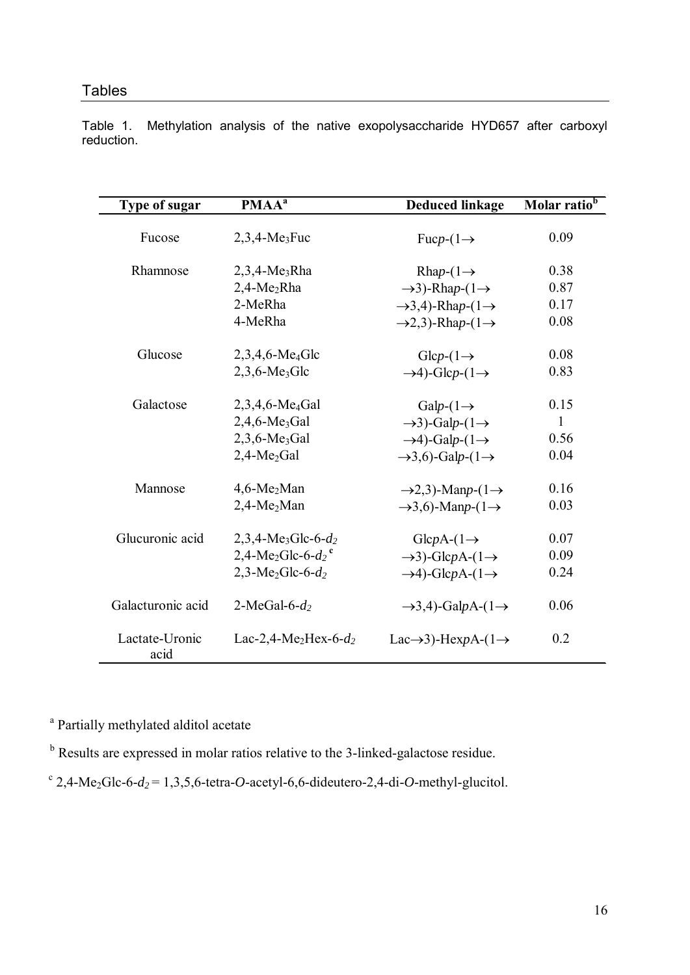Table 1. Methylation analysis of the native exopolysaccharide HYD657 after carboxyl reduction.

| Type of sugar          | PMAA <sup>a</sup>                             | <b>Deduced linkage</b>                      | Molar ratio <sup>b</sup> |  |
|------------------------|-----------------------------------------------|---------------------------------------------|--------------------------|--|
|                        |                                               |                                             |                          |  |
| Fucose                 | $2,3,4-Me_3$ Fuc                              | Fuc $p$ - $(1 \rightarrow$                  | 0.09                     |  |
| Rhamnose               | $2,3,4-Me_3R$ ha                              | Rhap- $(1 \rightarrow$                      | 0.38                     |  |
|                        | $2,4-Me_2Rha$                                 | $\rightarrow$ 3)-Rhap- $(1 \rightarrow$     | 0.87                     |  |
|                        | 2-MeRha                                       |                                             | 0.17                     |  |
|                        |                                               | $\rightarrow$ 3,4)-Rhap- $(1 \rightarrow$   |                          |  |
|                        | 4-MeRha                                       | $\rightarrow$ 2,3)-Rhap- $(1 \rightarrow$   | 0.08                     |  |
| Glucose                | $2,3,4,6$ -Me <sub>4</sub> Glc                | $Glep-(1\rightarrow$                        | 0.08                     |  |
|                        | $2,3,6$ -Me <sub>3</sub> Glc                  | $\rightarrow$ 4)-Glcp-(1 $\rightarrow$      | 0.83                     |  |
| Galactose              | $2,3,4,6$ -Me <sub>4</sub> Gal                | Galp- $(1 \rightarrow$                      | 0.15                     |  |
|                        | $2,4,6$ -Me <sub>3</sub> Gal                  | $\rightarrow$ 3)-Galp-(1 $\rightarrow$      | 1                        |  |
|                        | $2,3,6$ -Me <sub>3</sub> Gal                  | $\rightarrow$ 4)-Galp-(1 $\rightarrow$      | 0.56                     |  |
|                        | $2,4-Me2Gal$                                  | $\rightarrow$ 3,6)-Galp- $(1\rightarrow$    | 0.04                     |  |
| Mannose                | $4,6$ -Me <sub>2</sub> Man                    | $\rightarrow$ 2,3)-Manp-(1 $\rightarrow$    | 0.16                     |  |
|                        | $2,4-Me2Man$                                  | $\rightarrow$ 3,6)-Manp-(1 $\rightarrow$    | 0.03                     |  |
| Glucuronic acid        | $2,3,4-Me_3Glc-6-d_2$                         | $GlepA-(1\rightarrow$                       | 0.07                     |  |
|                        | 2,4-Me <sub>2</sub> Glc-6- $d_2$ <sup>c</sup> | $\rightarrow$ 3)-GlcpA-(1 $\rightarrow$     | 0.09                     |  |
|                        | $2,3-Me_2Glc-6-d_2$                           | $\rightarrow$ 4)-GlcpA-(1 $\rightarrow$     | 0.24                     |  |
| Galacturonic acid      | 2-MeGal-6- $d_2$                              | $\rightarrow$ 3,4)-GalpA-(1 $\rightarrow$   | 0.06                     |  |
| Lactate-Uronic<br>acid | Lac-2,4-Me <sub>2</sub> Hex-6- $d_2$          | Lac $\rightarrow$ 3)-HexpA-(1 $\rightarrow$ | 0.2                      |  |

<sup>a</sup> Partially methylated alditol acetate

<sup>b</sup> Results are expressed in molar ratios relative to the 3-linked-galactose residue.

<sup>c</sup> 2,4-Me<sub>2</sub>Glc-6- $d_2$  = 1,3,5,6-tetra-*O*-acetyl-6,6-dideutero-2,4-di-*O*-methyl-glucitol.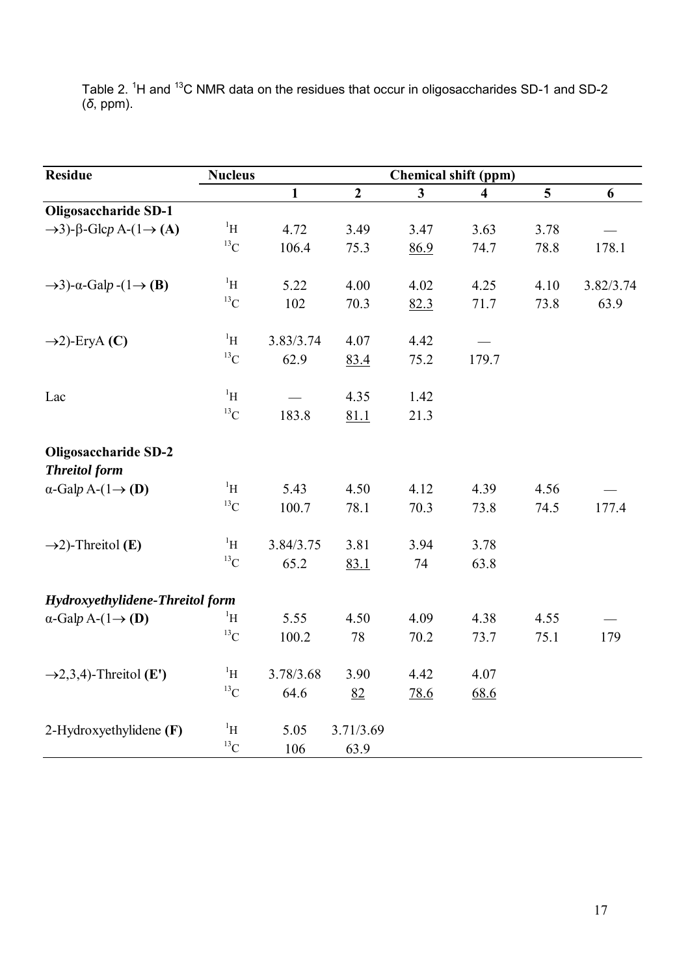Table 2.  ${}^{1}$ H and  ${}^{13}$ C NMR data on the residues that occur in oligosaccharides SD-1 and SD-2 (*δ*, ppm).

| <b>Residue</b>                                         | <b>Nucleus</b>    |              | <b>Chemical shift (ppm)</b> |              |                         |                 |           |  |
|--------------------------------------------------------|-------------------|--------------|-----------------------------|--------------|-------------------------|-----------------|-----------|--|
|                                                        |                   | $\mathbf{1}$ | $\overline{2}$              | $\mathbf{3}$ | $\overline{\mathbf{4}}$ | $5\overline{)}$ | 6         |  |
| Oligosaccharide SD-1                                   |                   |              |                             |              |                         |                 |           |  |
| $\rightarrow$ 3)- $\beta$ -Glcp A-(1 $\rightarrow$ (A) | $\rm ^1H$         | 4.72         | 3.49                        | 3.47         | 3.63                    | 3.78            |           |  |
|                                                        | $^{13}\mathrm{C}$ | 106.4        | 75.3                        | 86.9         | 74.7                    | 78.8            | 178.1     |  |
| $\rightarrow$ 3)- $\alpha$ -Galp -(1 $\rightarrow$ (B) | $\rm ^1H$         | 5.22         | 4.00                        | 4.02         | 4.25                    | 4.10            | 3.82/3.74 |  |
|                                                        | $^{13}\mathrm{C}$ | 102          | 70.3                        | 82.3         | 71.7                    | 73.8            | 63.9      |  |
| $\rightarrow$ 2)-EryA (C)                              | $\rm ^1H$         | 3.83/3.74    | 4.07                        | 4.42         |                         |                 |           |  |
|                                                        | $^{13}\mathrm{C}$ | 62.9         | 83.4                        | 75.2         | 179.7                   |                 |           |  |
| Lac                                                    | $\rm ^1H$         |              | 4.35                        | 1.42         |                         |                 |           |  |
|                                                        | $^{13}C$          | 183.8        | 81.1                        | 21.3         |                         |                 |           |  |
| <b>Oligosaccharide SD-2</b><br><b>Threitol form</b>    |                   |              |                             |              |                         |                 |           |  |
| $\alpha$ -Galp A- $(1 \rightarrow (D))$                | $\rm ^1H$         | 5.43         | 4.50                        | 4.12         | 4.39                    | 4.56            |           |  |
|                                                        | $^{13}\mathrm{C}$ | 100.7        | 78.1                        | 70.3         | 73.8                    | 74.5            | 177.4     |  |
| $\rightarrow$ 2)-Threitol (E)                          | $\rm ^1H$         | 3.84/3.75    | 3.81                        | 3.94         | 3.78                    |                 |           |  |
|                                                        | $^{13}C$          | 65.2         | 83.1                        | 74           | 63.8                    |                 |           |  |
| Hydroxyethylidene-Threitol form                        |                   |              |                             |              |                         |                 |           |  |
| $\alpha$ -Galp A- $(1 \rightarrow (D))$                | $\rm ^1H$         | 5.55         | 4.50                        | 4.09         | 4.38                    | 4.55            |           |  |
|                                                        | $^{13}\mathrm{C}$ | 100.2        | 78                          | 70.2         | 73.7                    | 75.1            | 179       |  |
| $\rightarrow$ 2,3,4)-Threitol (E')                     | $\rm ^1H$         | 3.78/3.68    | 3.90                        | 4.42         | 4.07                    |                 |           |  |
|                                                        | $^{13}C$          | 64.6         | 82                          | <u>78.6</u>  | 68.6                    |                 |           |  |
| 2-Hydroxyethylidene (F)                                | $\rm ^1H$         | 5.05         | 3.71/3.69                   |              |                         |                 |           |  |
|                                                        | $^{13}C$          | 106          | 63.9                        |              |                         |                 |           |  |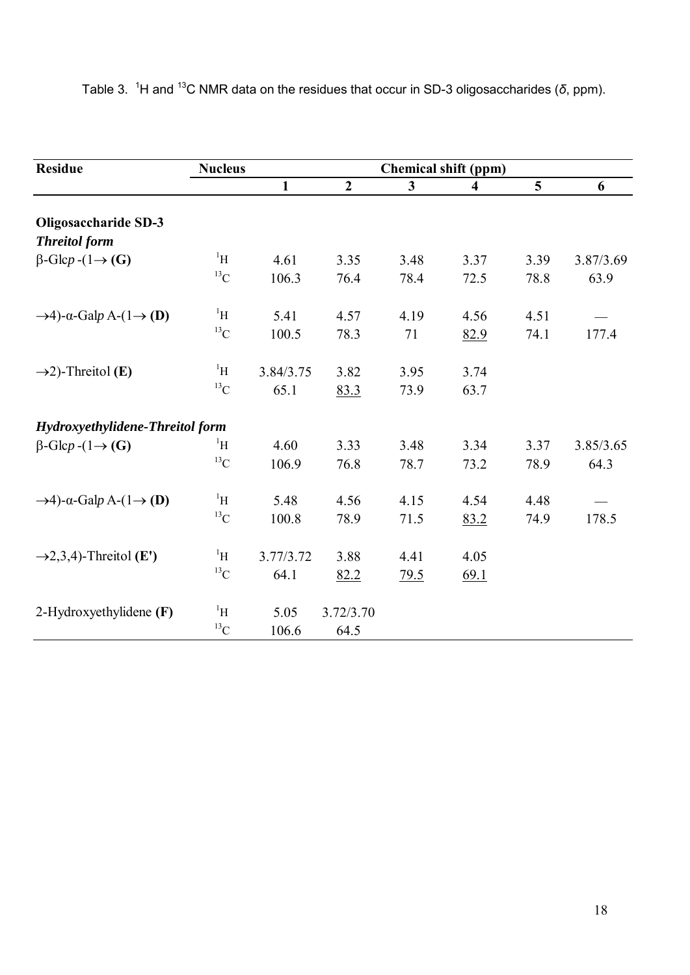| <b>Residue</b>                                          | <b>Nucleus</b> | <b>Chemical shift (ppm)</b> |                |                         |                         |      |           |
|---------------------------------------------------------|----------------|-----------------------------|----------------|-------------------------|-------------------------|------|-----------|
|                                                         |                | $\mathbf{1}$                | $\overline{2}$ | $\overline{\mathbf{3}}$ | $\overline{\mathbf{4}}$ | 5    | 6         |
| <b>Oligosaccharide SD-3</b>                             |                |                             |                |                         |                         |      |           |
| <b>Threitol</b> form                                    |                |                             |                |                         |                         |      |           |
| $\beta$ -Glcp -(1 $\rightarrow$ (G)                     | $\rm ^1H$      | 4.61                        | 3.35           | 3.48                    | 3.37                    | 3.39 | 3.87/3.69 |
|                                                         | $^{13}$ C      | 106.3                       | 76.4           | 78.4                    | 72.5                    | 78.8 | 63.9      |
| $\rightarrow$ 4)- $\alpha$ -Galp A-(1 $\rightarrow$ (D) | $\rm ^1H$      | 5.41                        | 4.57           | 4.19                    | 4.56                    | 4.51 |           |
|                                                         | $^{13}$ C      | 100.5                       | 78.3           | 71                      | 82.9                    | 74.1 | 177.4     |
| $\rightarrow$ 2)-Threitol (E)                           | $\rm ^1H$      | 3.84/3.75                   | 3.82           | 3.95                    | 3.74                    |      |           |
|                                                         | $^{13}$ C      | 65.1                        | 83.3           | 73.9                    | 63.7                    |      |           |
| Hydroxyethylidene-Threitol form                         |                |                             |                |                         |                         |      |           |
| $\beta$ -Glcp -(1 $\rightarrow$ (G)                     | $\rm ^1H$      | 4.60                        | 3.33           | 3.48                    | 3.34                    | 3.37 | 3.85/3.65 |
|                                                         | $^{13}$ C      | 106.9                       | 76.8           | 78.7                    | 73.2                    | 78.9 | 64.3      |
| $\rightarrow$ 4)- $\alpha$ -Galp A-(1 $\rightarrow$ (D) | $\rm ^1H$      | 5.48                        | 4.56           | 4.15                    | 4.54                    | 4.48 |           |
|                                                         | $^{13}$ C      | 100.8                       | 78.9           | 71.5                    | 83.2                    | 74.9 | 178.5     |
| $\rightarrow$ 2,3,4)-Threitol (E')                      | $\rm ^1H$      | 3.77/3.72                   | 3.88           | 4.41                    | 4.05                    |      |           |
|                                                         | $^{13}$ C      | 64.1                        | 82.2           | 79.5                    | 69.1                    |      |           |
| 2-Hydroxyethylidene $(F)$                               | $\rm ^1H$      | 5.05                        | 3.72/3.70      |                         |                         |      |           |
|                                                         | $^{13}C$       | 106.6                       | 64.5           |                         |                         |      |           |

Table 3. <sup>1</sup>H and <sup>13</sup>C NMR data on the residues that occur in SD-3 oligosaccharides (*δ*, ppm).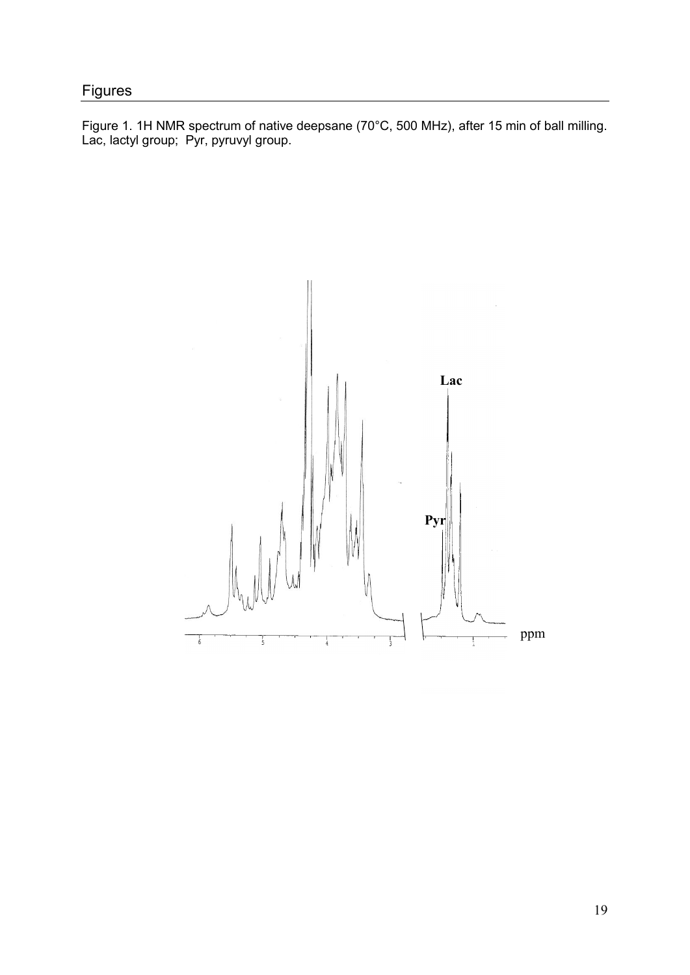Figure 1. 1H NMR spectrum of native deepsane (70°C, 500 MHz), after 15 min of ball milling. Lac, lactyl group; Pyr, pyruvyl group.

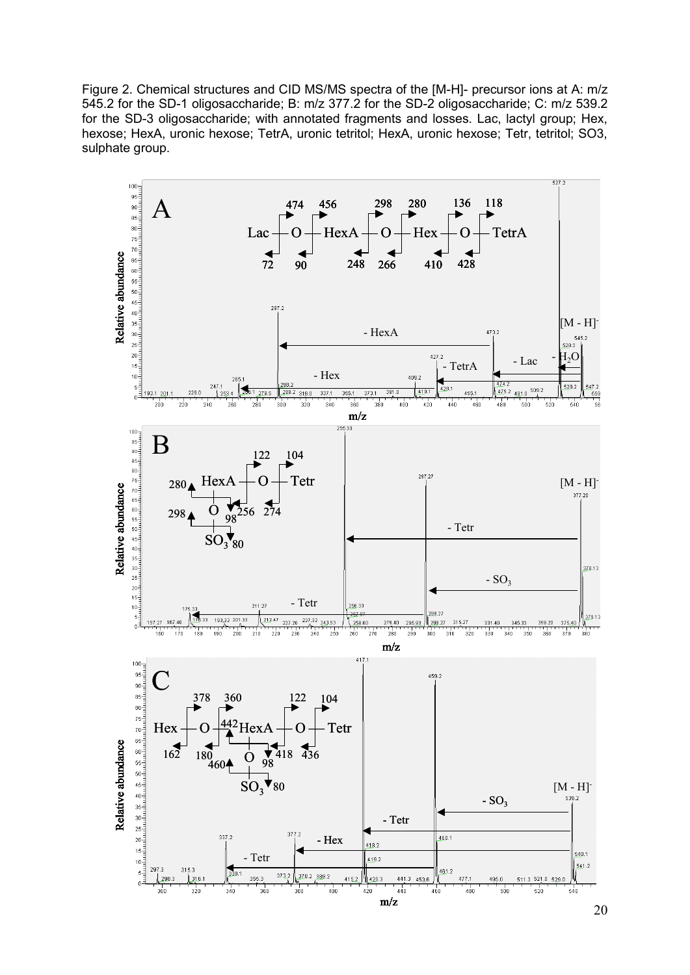Figure 2. Chemical structures and CID MS/MS spectra of the [M-H]- precursor ions at A: m/z 545.2 for the SD-1 oligosaccharide; B: m/z 377.2 for the SD-2 oligosaccharide; C: m/z 539.2 for the SD-3 oligosaccharide; with annotated fragments and losses. Lac, lactyl group; Hex, hexose; HexA, uronic hexose; TetrA, uronic tetritol; HexA, uronic hexose; Tetr, tetritol; SO3, sulphate group.

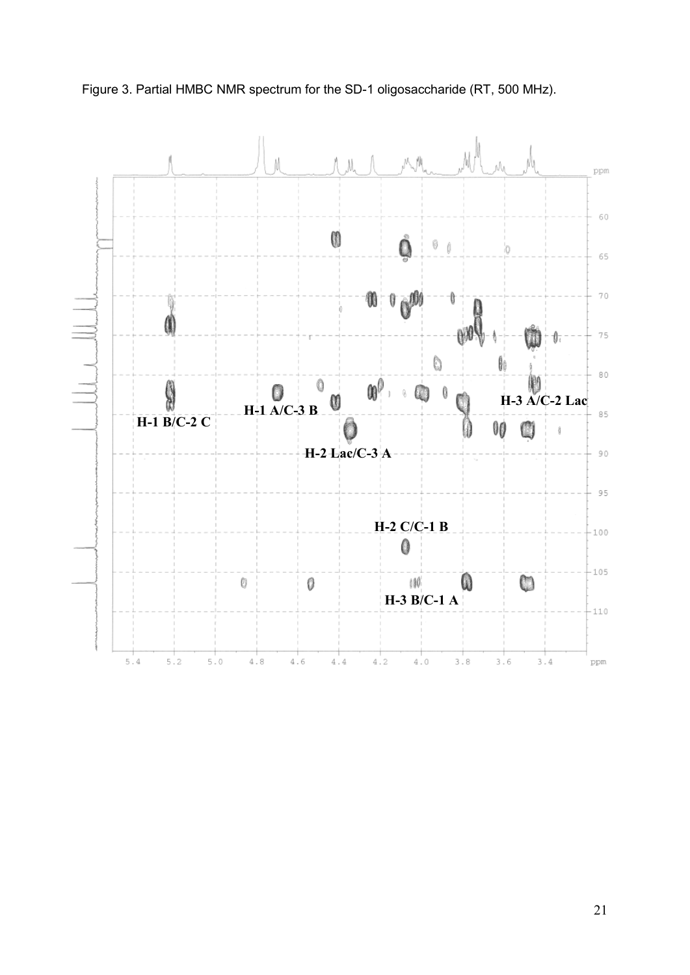

Figure 3. Partial HMBC NMR spectrum for the SD-1 oligosaccharide (RT, 500 MHz).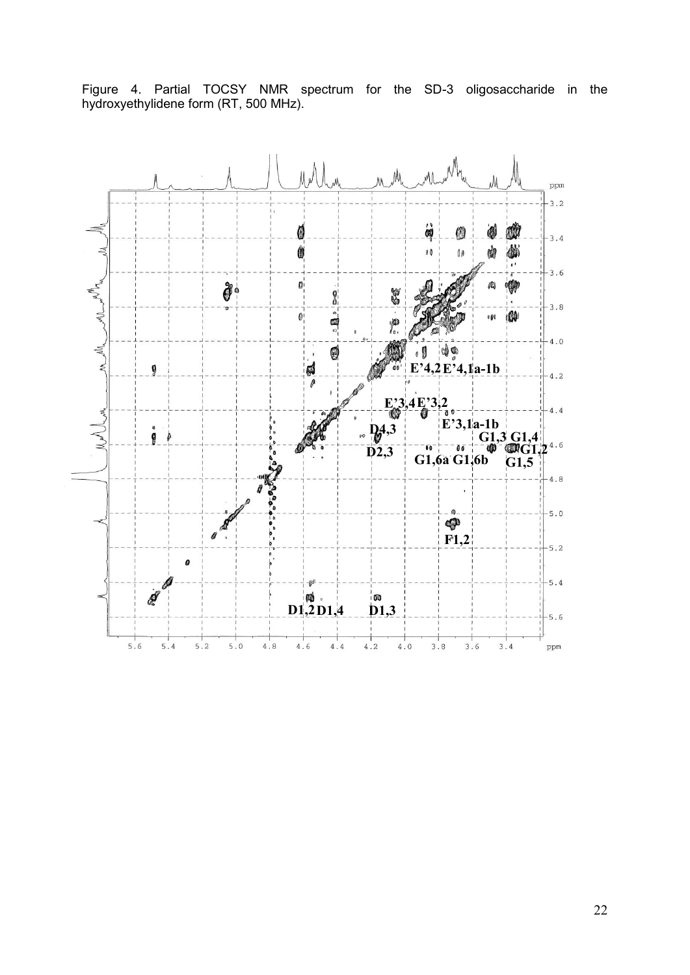

Figure 4. Partial TOCSY NMR spectrum for the SD-3 oligosaccharide in the hydroxyethylidene form (RT, 500 MHz).